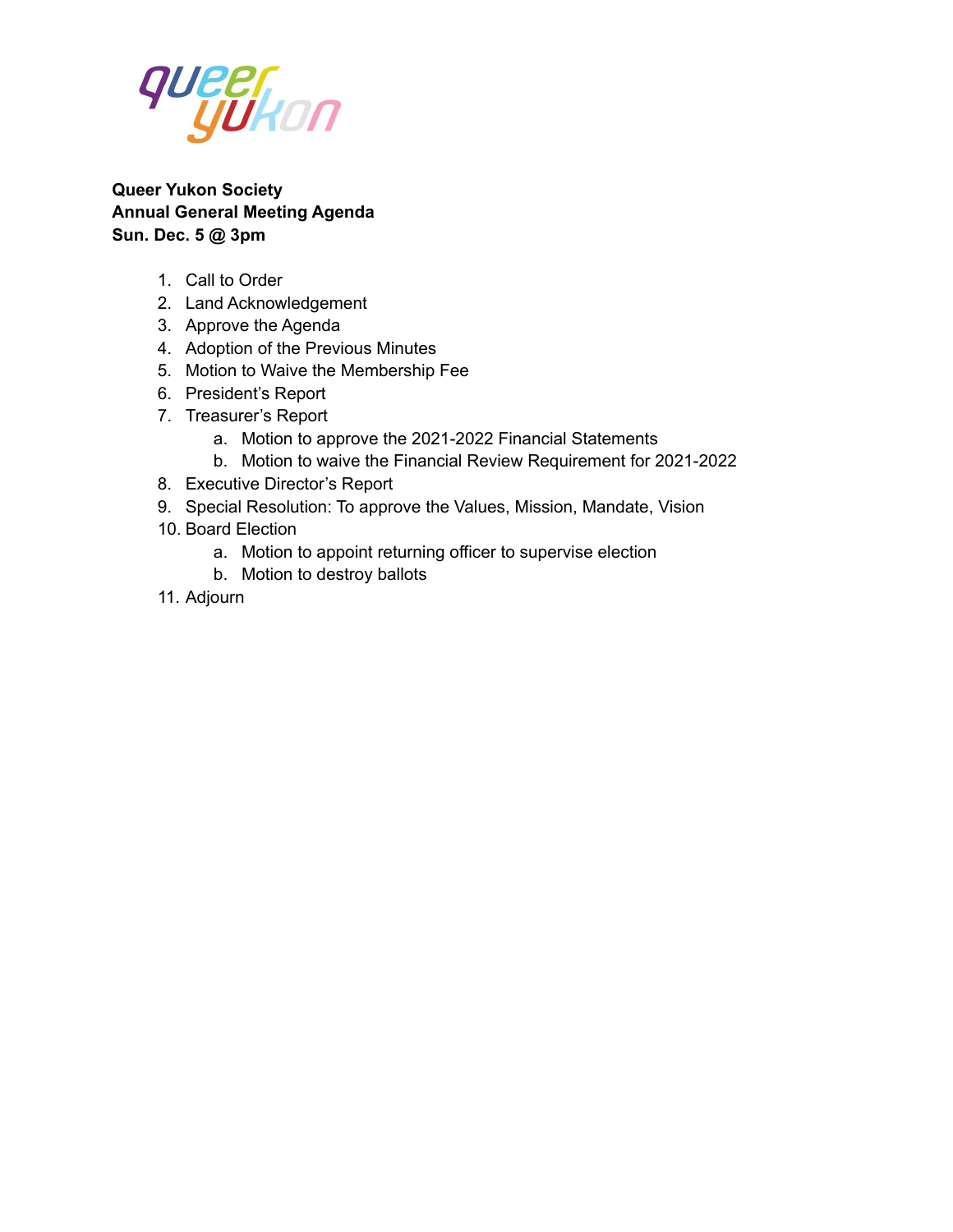

**Queer Yukon Society Annual General Meeting Agenda Sun. Dec. 5 @ 3pm**

- 1. Call to Order
- 2. Land Acknowledgement
- 3. Approve the Agenda
- 4. Adoption of the Previous Minutes
- 5. Motion to Waive the Membership Fee
- 6. President's Report
- 7. Treasurer's Report
	- a. Motion to approve the 2021-2022 Financial Statements
	- b. Motion to waive the Financial Review Requirement for 2021-2022
- 8. Executive Director's Report
- 9. Special Resolution: To approve the Values, Mission, Mandate, Vision
- 10. Board Election
	- a. Motion to appoint returning officer to supervise election
	- b. Motion to destroy ballots
- 11. Adjourn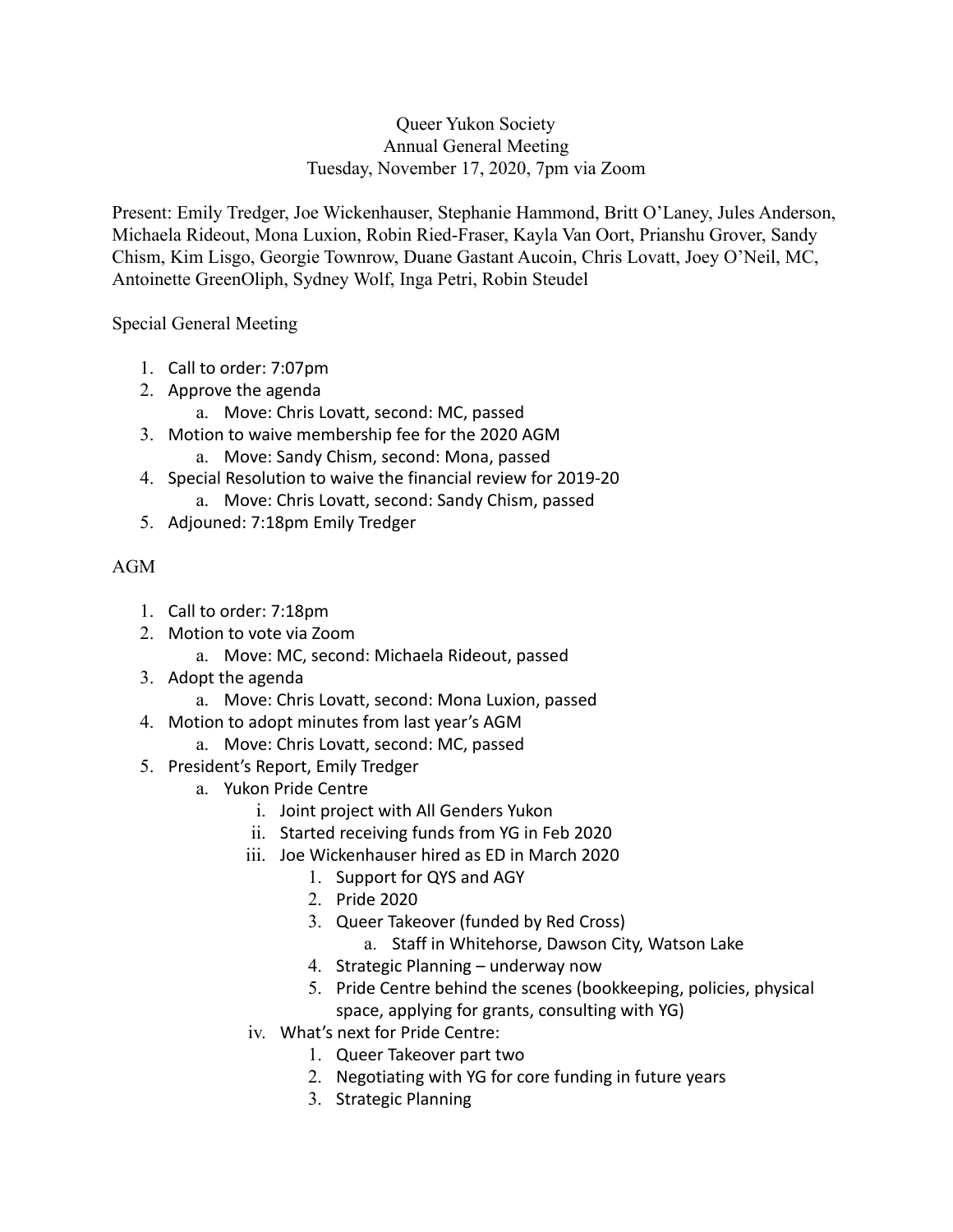#### Queer Yukon Society Annual General Meeting Tuesday, November 17, 2020, 7pm via Zoom

Present: Emily Tredger, Joe Wickenhauser, Stephanie Hammond, Britt O'Laney, Jules Anderson, Michaela Rideout, Mona Luxion, Robin Ried-Fraser, Kayla Van Oort, Prianshu Grover, Sandy Chism, Kim Lisgo, Georgie Townrow, Duane Gastant Aucoin, Chris Lovatt, Joey O'Neil, MC, Antoinette GreenOliph, Sydney Wolf, Inga Petri, Robin Steudel

Special General Meeting

- 1. Call to order: 7:07pm
- 2. Approve the agenda
	- a. Move: Chris Lovatt, second: MC, passed
- 3. Motion to waive membership fee for the 2020 AGM a. Move: Sandy Chism, second: Mona, passed
- 4. Special Resolution to waive the financial review for 2019-20
	- a. Move: Chris Lovatt, second: Sandy Chism, passed
- 5. Adjouned: 7:18pm Emily Tredger

## AGM

- 1. Call to order: 7:18pm
- 2. Motion to vote via Zoom
	- a. Move: MC, second: Michaela Rideout, passed
- 3. Adopt the agenda
	- a. Move: Chris Lovatt, second: Mona Luxion, passed
- 4. Motion to adopt minutes from last year's AGM
	- a. Move: Chris Lovatt, second: MC, passed
- 5. President's Report, Emily Tredger
	- a. Yukon Pride Centre
		- i. Joint project with All Genders Yukon
		- ii. Started receiving funds from YG in Feb 2020
		- iii. Joe Wickenhauser hired as ED in March 2020
			- 1. Support for QYS and AGY
			- 2. Pride 2020
			- 3. Queer Takeover (funded by Red Cross)
				- a. Staff in Whitehorse, Dawson City, Watson Lake
			- 4. Strategic Planning underway now
			- 5. Pride Centre behind the scenes (bookkeeping, policies, physical space, applying for grants, consulting with YG)
		- iv. What's next for Pride Centre:
			- 1. Queer Takeover part two
			- 2. Negotiating with YG for core funding in future years
			- 3. Strategic Planning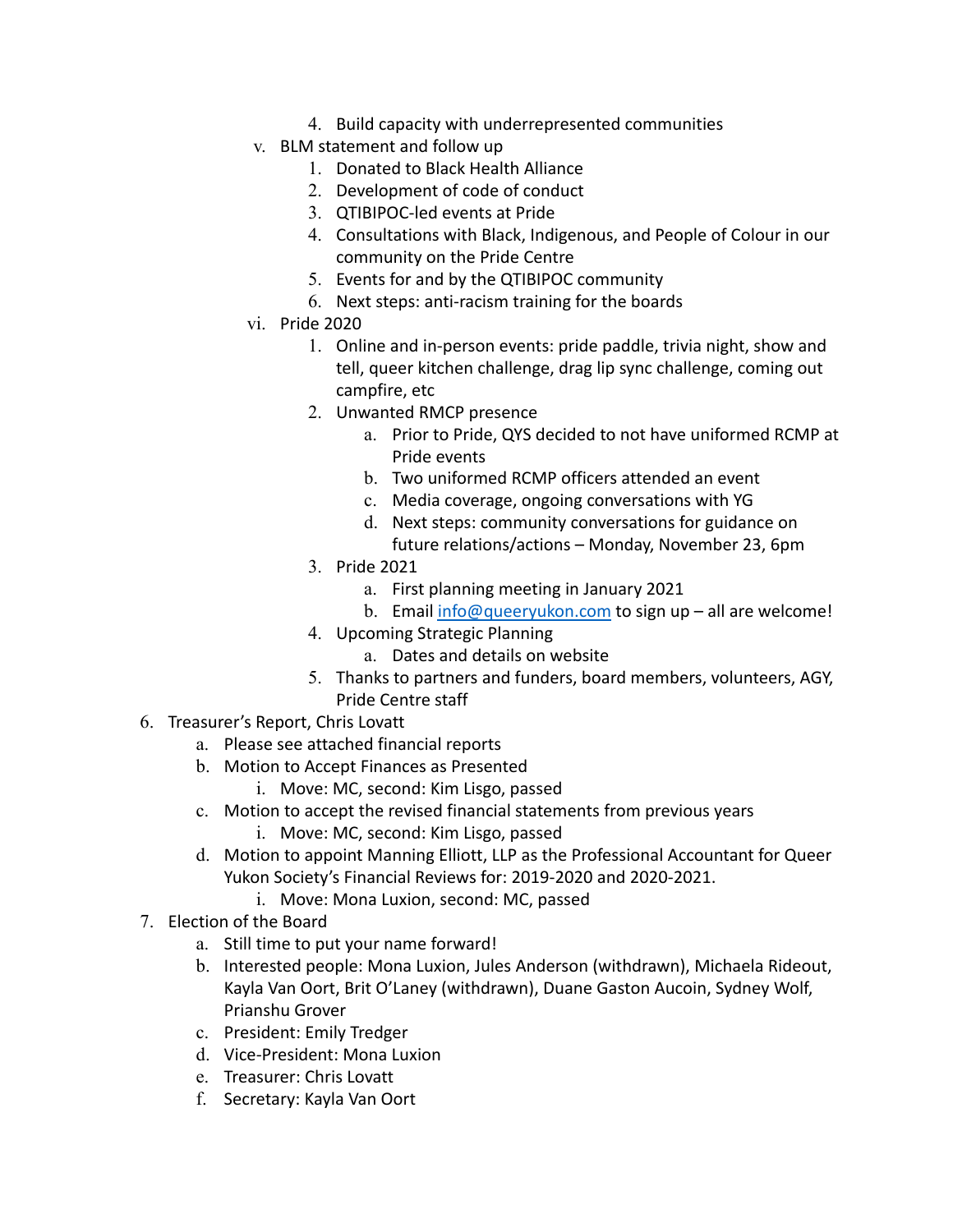- 4. Build capacity with underrepresented communities
- v. BLM statement and follow up
	- 1. Donated to Black Health Alliance
	- 2. Development of code of conduct
	- 3. QTIBIPOC-led events at Pride
	- 4. Consultations with Black, Indigenous, and People of Colour in our community on the Pride Centre
	- 5. Events for and by the QTIBIPOC community
	- 6. Next steps: anti-racism training for the boards
- vi. Pride 2020
	- 1. Online and in-person events: pride paddle, trivia night, show and tell, queer kitchen challenge, drag lip sync challenge, coming out campfire, etc
	- 2. Unwanted RMCP presence
		- a. Prior to Pride, QYS decided to not have uniformed RCMP at Pride events
		- b. Two uniformed RCMP officers attended an event
		- c. Media coverage, ongoing conversations with YG
		- d. Next steps: community conversations for guidance on future relations/actions – Monday, November 23, 6pm
	- 3. Pride 2021
		- a. First planning meeting in January 2021
		- b. Email [info@queeryukon.com](mailto:info@queeryukon.com) to sign up all are welcome!
	- 4. Upcoming Strategic Planning
		- a. Dates and details on website
	- 5. Thanks to partners and funders, board members, volunteers, AGY, Pride Centre staff
- 6. Treasurer's Report, Chris Lovatt
	- a. Please see attached financial reports
	- b. Motion to Accept Finances as Presented
		- i. Move: MC, second: Kim Lisgo, passed
	- c. Motion to accept the revised financial statements from previous years
		- i. Move: MC, second: Kim Lisgo, passed
	- d. Motion to appoint Manning Elliott, LLP as the Professional Accountant for Queer Yukon Society's Financial Reviews for: 2019-2020 and 2020-2021.
		- i. Move: Mona Luxion, second: MC, passed
- 7. Election of the Board
	- a. Still time to put your name forward!
	- b. Interested people: Mona Luxion, Jules Anderson (withdrawn), Michaela Rideout, Kayla Van Oort, Brit O'Laney (withdrawn), Duane Gaston Aucoin, Sydney Wolf, Prianshu Grover
	- c. President: Emily Tredger
	- d. Vice-President: Mona Luxion
	- e. Treasurer: Chris Lovatt
	- f. Secretary: Kayla Van Oort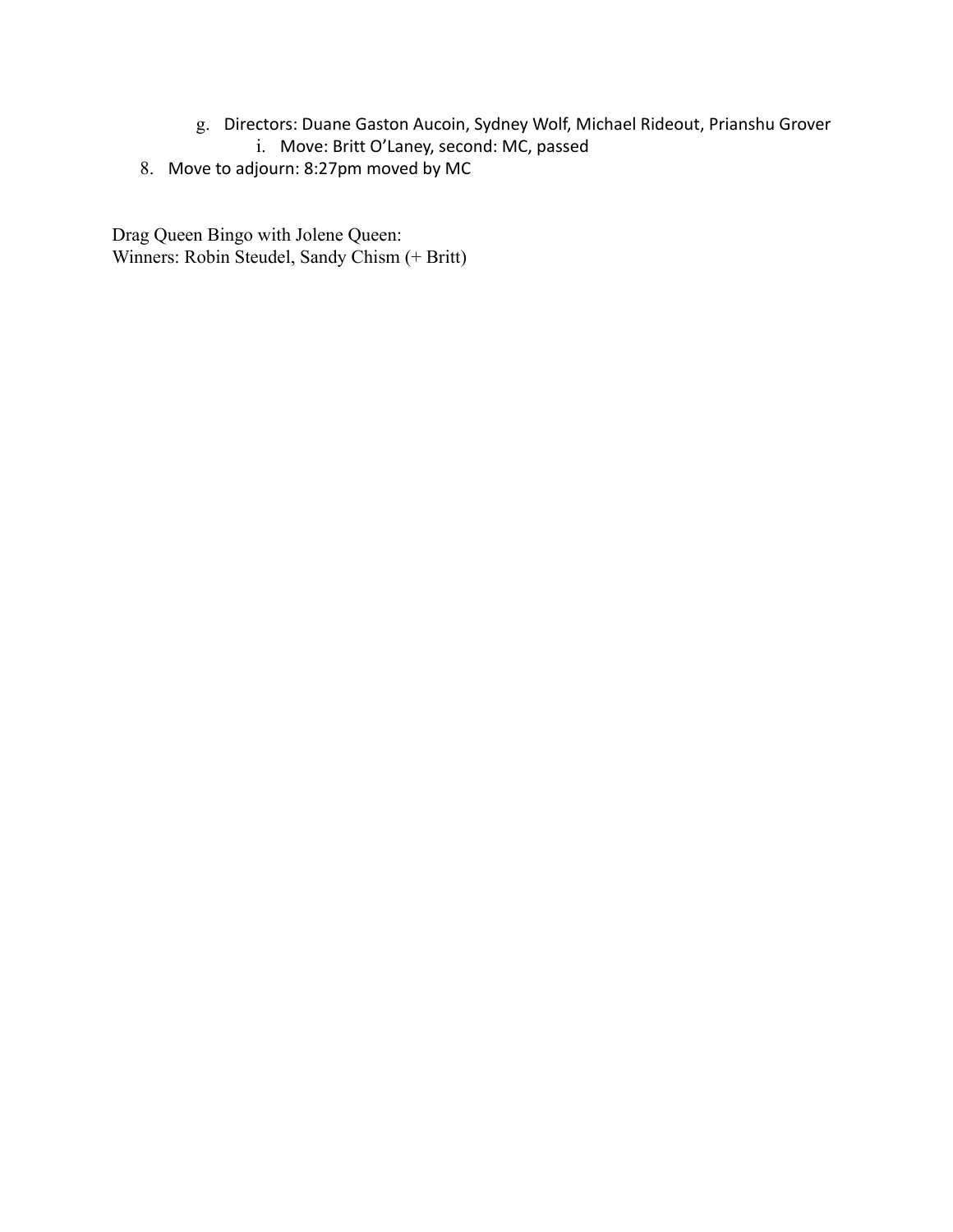- g. Directors: Duane Gaston Aucoin, Sydney Wolf, Michael Rideout, Prianshu Grover
	- i. Move: Britt O'Laney, second: MC, passed
- 8. Move to adjourn: 8:27pm moved by MC

Drag Queen Bingo with Jolene Queen: Winners: Robin Steudel, Sandy Chism (+ Britt)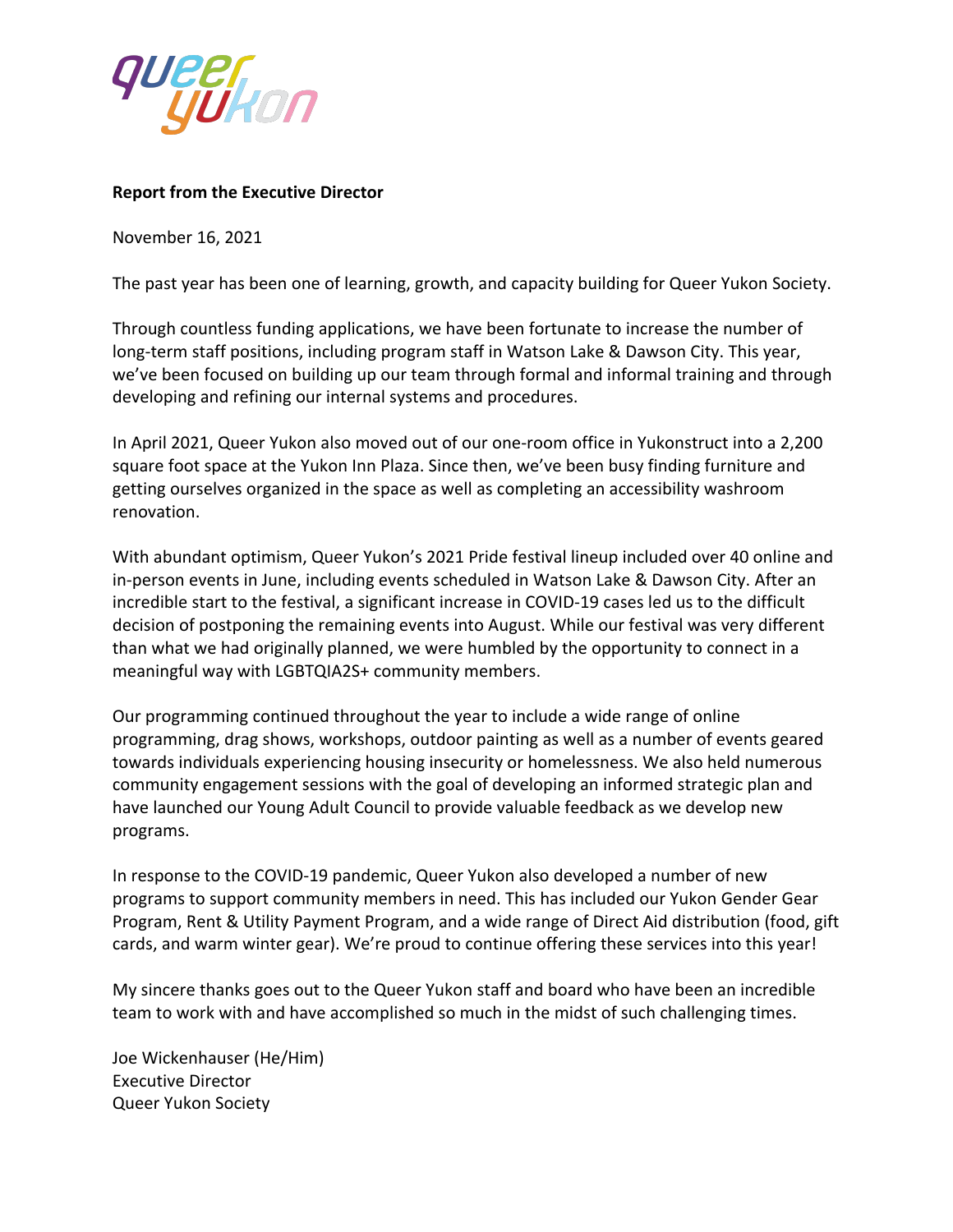

#### **Report from the Executive Director**

November 16, 2021

The past year has been one of learning, growth, and capacity building for Queer Yukon Society.

Through countless funding applications, we have been fortunate to increase the number of long-term staff positions, including program staff in Watson Lake & Dawson City. This year, we've been focused on building up our team through formal and informal training and through developing and refining our internal systems and procedures.

In April 2021, Queer Yukon also moved out of our one-room office in Yukonstruct into a 2,200 square foot space at the Yukon Inn Plaza. Since then, we've been busy finding furniture and getting ourselves organized in the space as well as completing an accessibility washroom renovation.

With abundant optimism, Queer Yukon's 2021 Pride festival lineup included over 40 online and in-person events in June, including events scheduled in Watson Lake & Dawson City. After an incredible start to the festival, a significant increase in COVID-19 cases led us to the difficult decision of postponing the remaining events into August. While our festival was very different than what we had originally planned, we were humbled by the opportunity to connect in a meaningful way with LGBTQIA2S+ community members.

Our programming continued throughout the year to include a wide range of online programming, drag shows, workshops, outdoor painting as well as a number of events geared towards individuals experiencing housing insecurity or homelessness. We also held numerous community engagement sessions with the goal of developing an informed strategic plan and have launched our Young Adult Council to provide valuable feedback as we develop new programs.

In response to the COVID-19 pandemic, Queer Yukon also developed a number of new programs to support community members in need. This has included our Yukon Gender Gear Program, Rent & Utility Payment Program, and a wide range of Direct Aid distribution (food, gift cards, and warm winter gear). We're proud to continue offering these services into this year!

My sincere thanks goes out to the Queer Yukon staff and board who have been an incredible team to work with and have accomplished so much in the midst of such challenging times.

Joe Wickenhauser (He/Him) Executive Director Queer Yukon Society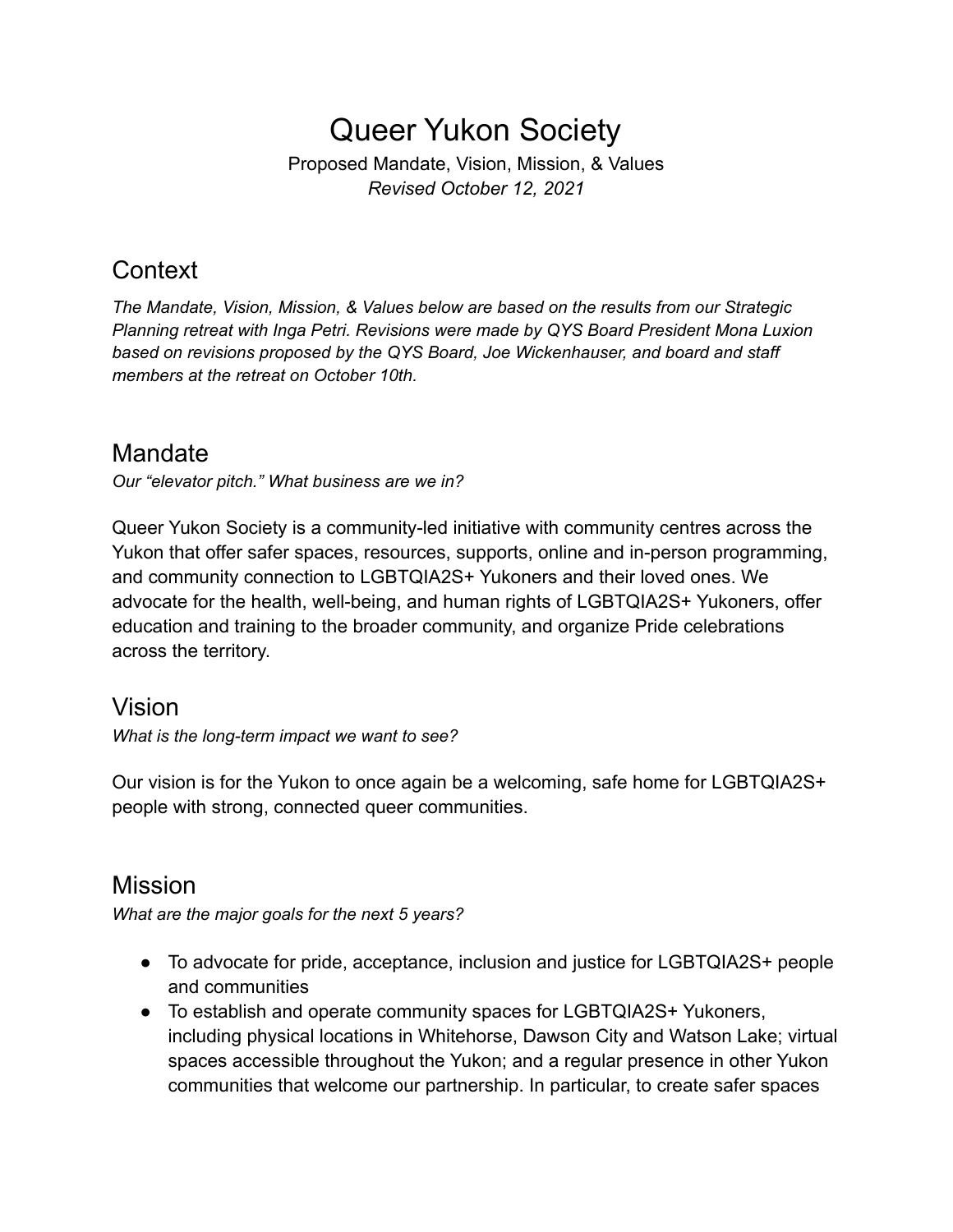Proposed Mandate, Vision, Mission, & Values *Revised October 12, 2021*

# **Context**

*The Mandate, Vision, Mission, & Values below are based on the results from our Strategic Planning retreat with Inga Petri. Revisions were made by QYS Board President Mona Luxion based on revisions proposed by the QYS Board, Joe Wickenhauser, and board and staff members at the retreat on October 10th.*

## Mandate

*Our "elevator pitch." What business are we in?*

Queer Yukon Society is a community-led initiative with community centres across the Yukon that offer safer spaces, resources, supports, online and in-person programming, and community connection to LGBTQIA2S+ Yukoners and their loved ones. We advocate for the health, well-being, and human rights of LGBTQIA2S+ Yukoners, offer education and training to the broader community, and organize Pride celebrations across the territory.

## Vision

*What is the long-term impact we want to see?*

Our vision is for the Yukon to once again be a welcoming, safe home for LGBTQIA2S+ people with strong, connected queer communities.

## Mission

*What are the major goals for the next 5 years?*

- To advocate for pride, acceptance, inclusion and justice for LGBTQIA2S+ people and communities
- To establish and operate community spaces for LGBTQIA2S+ Yukoners, including physical locations in Whitehorse, Dawson City and Watson Lake; virtual spaces accessible throughout the Yukon; and a regular presence in other Yukon communities that welcome our partnership. In particular, to create safer spaces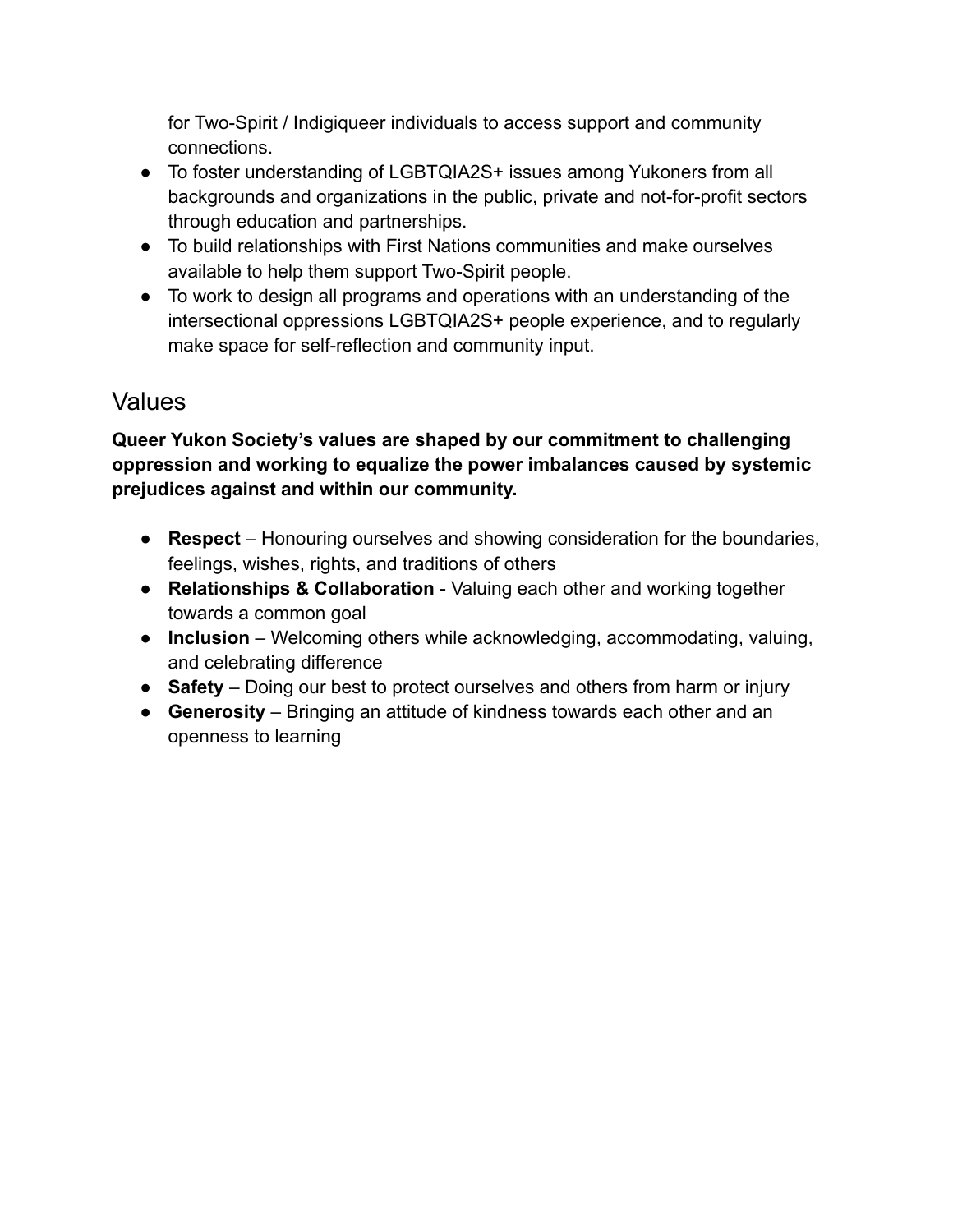for Two-Spirit / Indigiqueer individuals to access support and community connections.

- To foster understanding of LGBTQIA2S+ issues among Yukoners from all backgrounds and organizations in the public, private and not-for-profit sectors through education and partnerships.
- To build relationships with First Nations communities and make ourselves available to help them support Two-Spirit people.
- To work to design all programs and operations with an understanding of the intersectional oppressions LGBTQIA2S+ people experience, and to regularly make space for self-reflection and community input.

## Values

**Queer Yukon Society's values are shaped by our commitment to challenging oppression and working to equalize the power imbalances caused by systemic prejudices against and within our community.**

- **Respect** Honouring ourselves and showing consideration for the boundaries, feelings, wishes, rights, and traditions of others
- **Relationships & Collaboration** Valuing each other and working together towards a common goal
- **Inclusion** Welcoming others while acknowledging, accommodating, valuing, and celebrating difference
- **Safety** Doing our best to protect ourselves and others from harm or injury
- **Generosity** Bringing an attitude of kindness towards each other and an openness to learning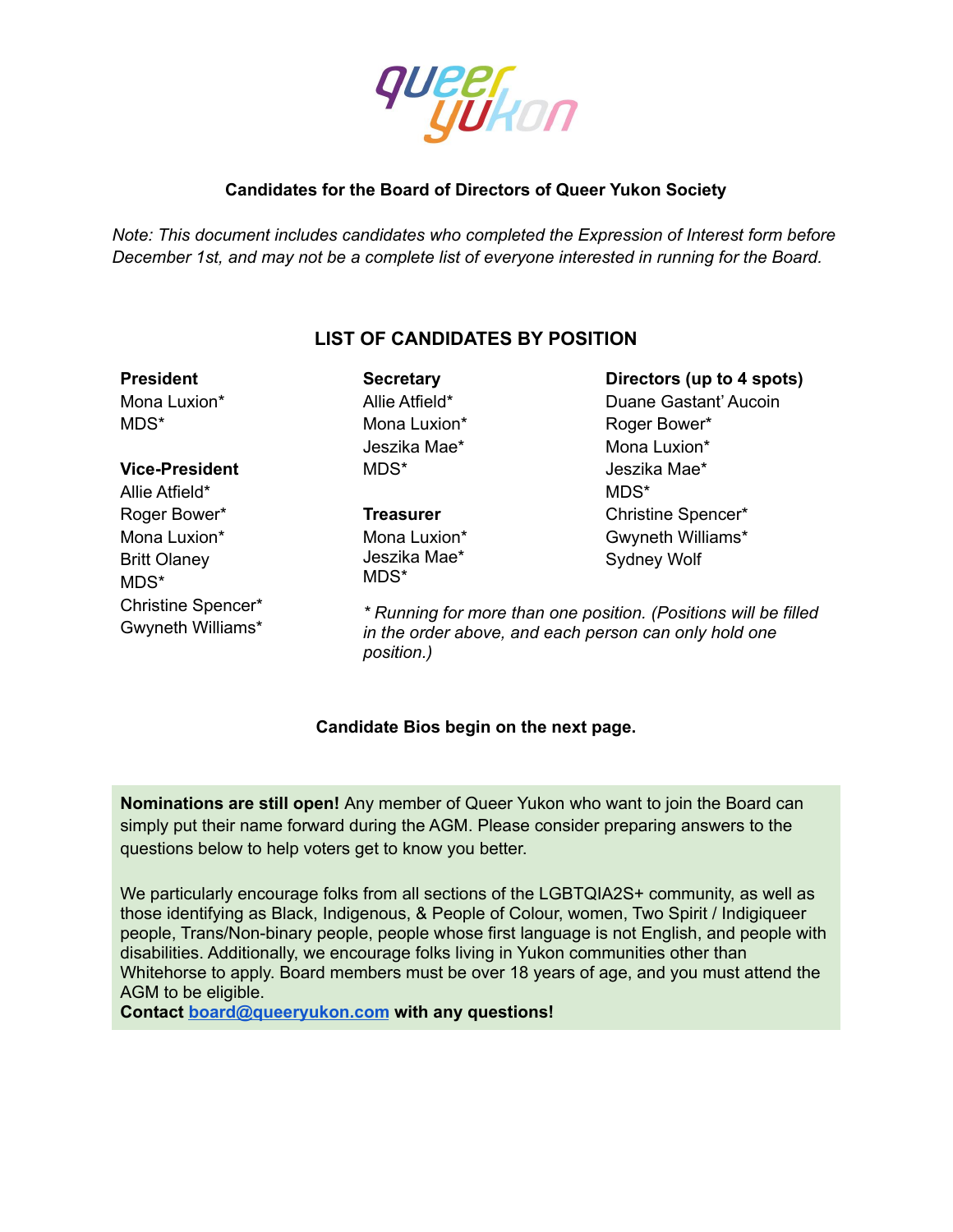

#### **Candidates for the Board of Directors of Queer Yukon Society**

*Note: This document includes candidates who completed the Expression of Interest form before December 1st, and may not be a complete list of everyone interested in running for the Board.*

## **LIST OF CANDIDATES BY POSITION**

## **President** Mona Luxion\*

MDS\*

#### **Vice-President**

Allie Atfield\* Roger Bower\* Mona Luxion\* Britt Olaney MDS\* Christine Spencer\* Gwyneth Williams\* **Secretary** Allie Atfield\* Mona Luxion\* Jeszika Mae\* MDS\*

#### **Treasurer**

Mona Luxion\* Jeszika Mae\* MDS\*

**Directors (up to 4 spots)** Duane Gastant' Aucoin Roger Bower\* Mona Luxion\* Jeszika Mae\* MDS\* Christine Spencer\* Gwyneth Williams\* Sydney Wolf

*\* Running for more than one position. (Positions will be filled in the order above, and each person can only hold one position.)*

#### **Candidate Bios begin on the next page.**

**Nominations are still open!** Any member of Queer Yukon who want to join the Board can simply put their name forward during the AGM. Please consider preparing answers to the questions below to help voters get to know you better.

We particularly encourage folks from all sections of the LGBTQIA2S+ community, as well as those identifying as Black, Indigenous, & People of Colour, women, Two Spirit / Indigiqueer people, Trans/Non-binary people, people whose first language is not English, and people with disabilities. Additionally, we encourage folks living in Yukon communities other than Whitehorse to apply. Board members must be over 18 years of age, and you must attend the AGM to be eligible.

**Contact [board@queeryukon.com](mailto:board@queeryukon.com) with any questions!**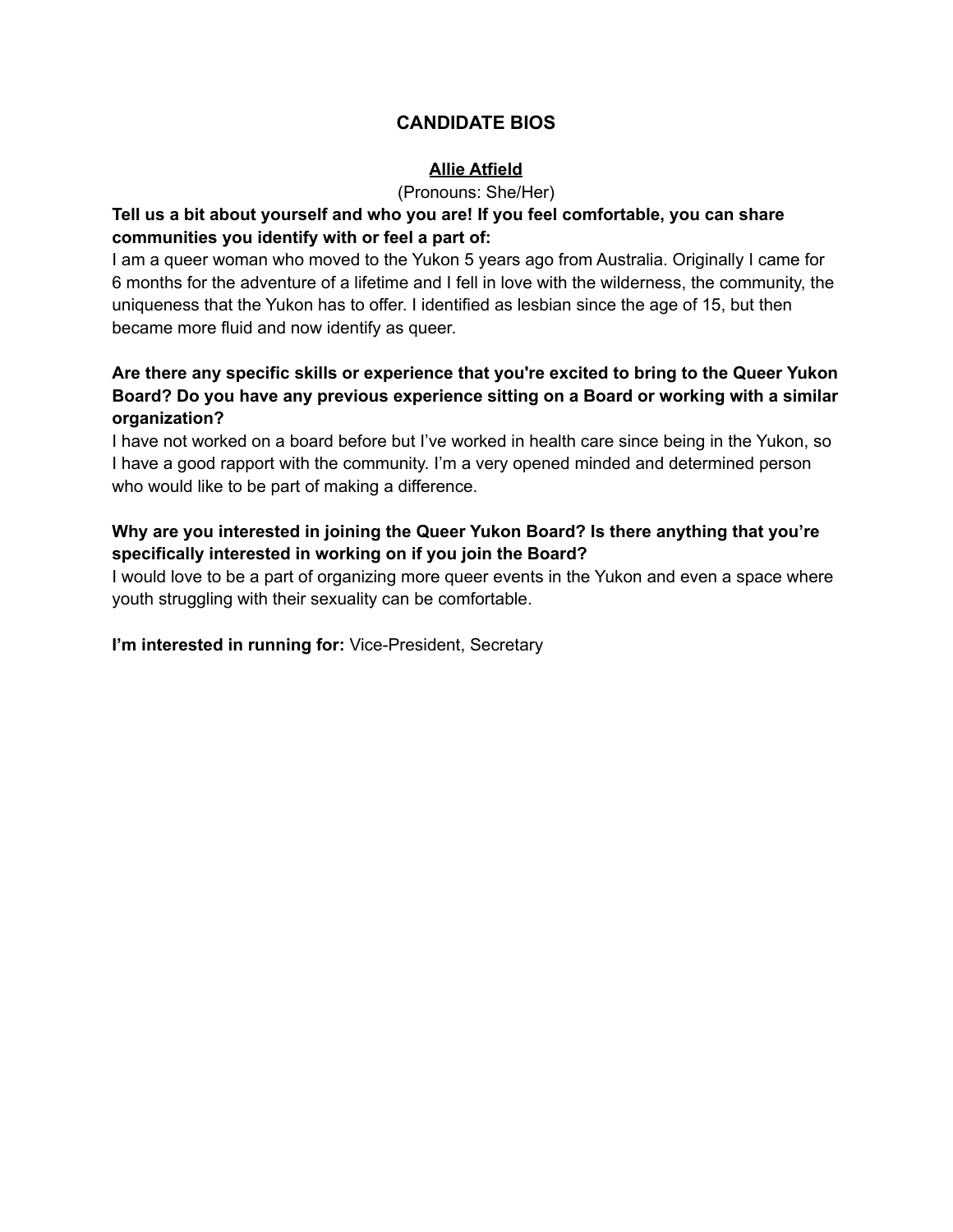## **CANDIDATE BIOS**

#### **Allie Atfield**

(Pronouns: She/Her)

#### **Tell us a bit about yourself and who you are! If you feel comfortable, you can share communities you identify with or feel a part of:**

I am a queer woman who moved to the Yukon 5 years ago from Australia. Originally I came for 6 months for the adventure of a lifetime and I fell in love with the wilderness, the community, the uniqueness that the Yukon has to offer. I identified as lesbian since the age of 15, but then became more fluid and now identify as queer.

### **Are there any specific skills or experience that you're excited to bring to the Queer Yukon Board? Do you have any previous experience sitting on a Board or working with a similar organization?**

I have not worked on a board before but I've worked in health care since being in the Yukon, so I have a good rapport with the community. I'm a very opened minded and determined person who would like to be part of making a difference.

## **Why are you interested in joining the Queer Yukon Board? Is there anything that you're specifically interested in working on if you join the Board?**

I would love to be a part of organizing more queer events in the Yukon and even a space where youth struggling with their sexuality can be comfortable.

**I'm interested in running for:** Vice-President, Secretary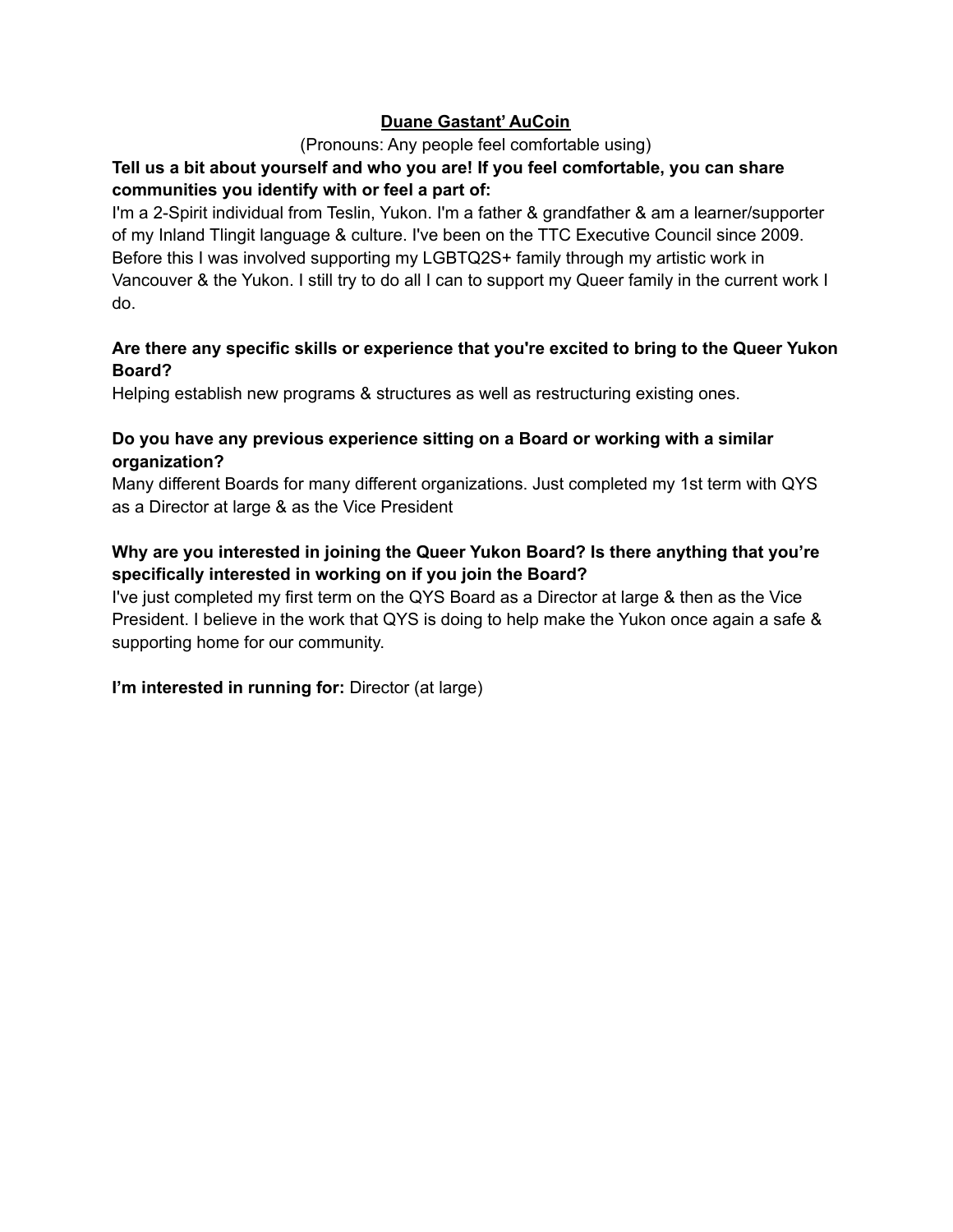#### **Duane Gastant' AuCoin**

#### (Pronouns: Any people feel comfortable using)

## **Tell us a bit about yourself and who you are! If you feel comfortable, you can share communities you identify with or feel a part of:**

I'm a 2-Spirit individual from Teslin, Yukon. I'm a father & grandfather & am a learner/supporter of my Inland Tlingit language & culture. I've been on the TTC Executive Council since 2009. Before this I was involved supporting my LGBTQ2S+ family through my artistic work in Vancouver & the Yukon. I still try to do all I can to support my Queer family in the current work I do.

#### **Are there any specific skills or experience that you're excited to bring to the Queer Yukon Board?**

Helping establish new programs & structures as well as restructuring existing ones.

### **Do you have any previous experience sitting on a Board or working with a similar organization?**

Many different Boards for many different organizations. Just completed my 1st term with QYS as a Director at large & as the Vice President

## **Why are you interested in joining the Queer Yukon Board? Is there anything that you're specifically interested in working on if you join the Board?**

I've just completed my first term on the QYS Board as a Director at large & then as the Vice President. I believe in the work that QYS is doing to help make the Yukon once again a safe & supporting home for our community.

**I'm interested in running for:** Director (at large)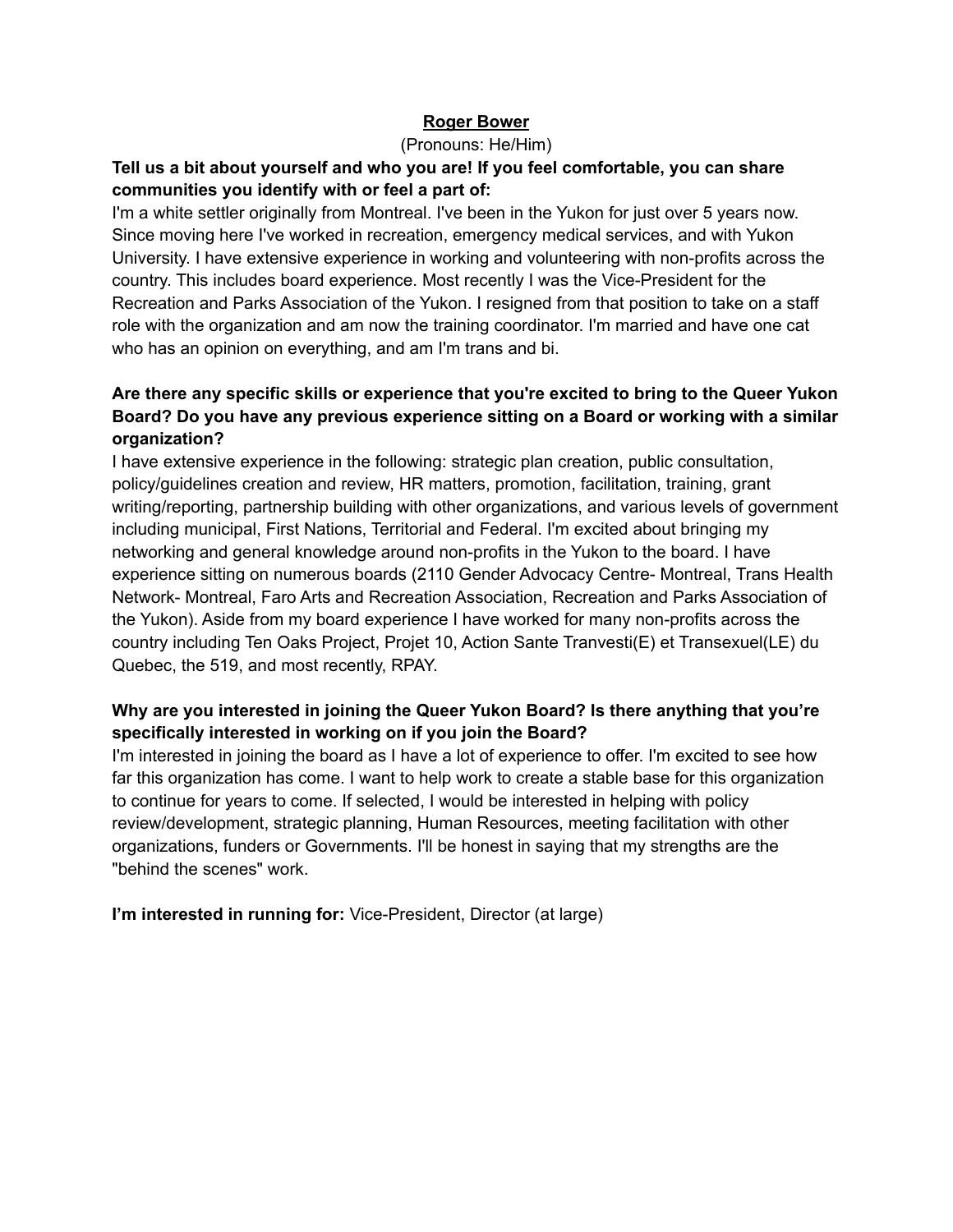#### **Roger Bower**

#### (Pronouns: He/Him)

#### **Tell us a bit about yourself and who you are! If you feel comfortable, you can share communities you identify with or feel a part of:**

I'm a white settler originally from Montreal. I've been in the Yukon for just over 5 years now. Since moving here I've worked in recreation, emergency medical services, and with Yukon University. I have extensive experience in working and volunteering with non-profits across the country. This includes board experience. Most recently I was the Vice-President for the Recreation and Parks Association of the Yukon. I resigned from that position to take on a staff role with the organization and am now the training coordinator. I'm married and have one cat who has an opinion on everything, and am I'm trans and bi.

### **Are there any specific skills or experience that you're excited to bring to the Queer Yukon Board? Do you have any previous experience sitting on a Board or working with a similar organization?**

I have extensive experience in the following: strategic plan creation, public consultation, policy/guidelines creation and review, HR matters, promotion, facilitation, training, grant writing/reporting, partnership building with other organizations, and various levels of government including municipal, First Nations, Territorial and Federal. I'm excited about bringing my networking and general knowledge around non-profits in the Yukon to the board. I have experience sitting on numerous boards (2110 Gender Advocacy Centre- Montreal, Trans Health Network- Montreal, Faro Arts and Recreation Association, Recreation and Parks Association of the Yukon). Aside from my board experience I have worked for many non-profits across the country including Ten Oaks Project, Projet 10, Action Sante Tranvesti(E) et Transexuel(LE) du Quebec, the 519, and most recently, RPAY.

#### **Why are you interested in joining the Queer Yukon Board? Is there anything that you're specifically interested in working on if you join the Board?**

I'm interested in joining the board as I have a lot of experience to offer. I'm excited to see how far this organization has come. I want to help work to create a stable base for this organization to continue for years to come. If selected, I would be interested in helping with policy review/development, strategic planning, Human Resources, meeting facilitation with other organizations, funders or Governments. I'll be honest in saying that my strengths are the "behind the scenes" work.

**I'm interested in running for:** Vice-President, Director (at large)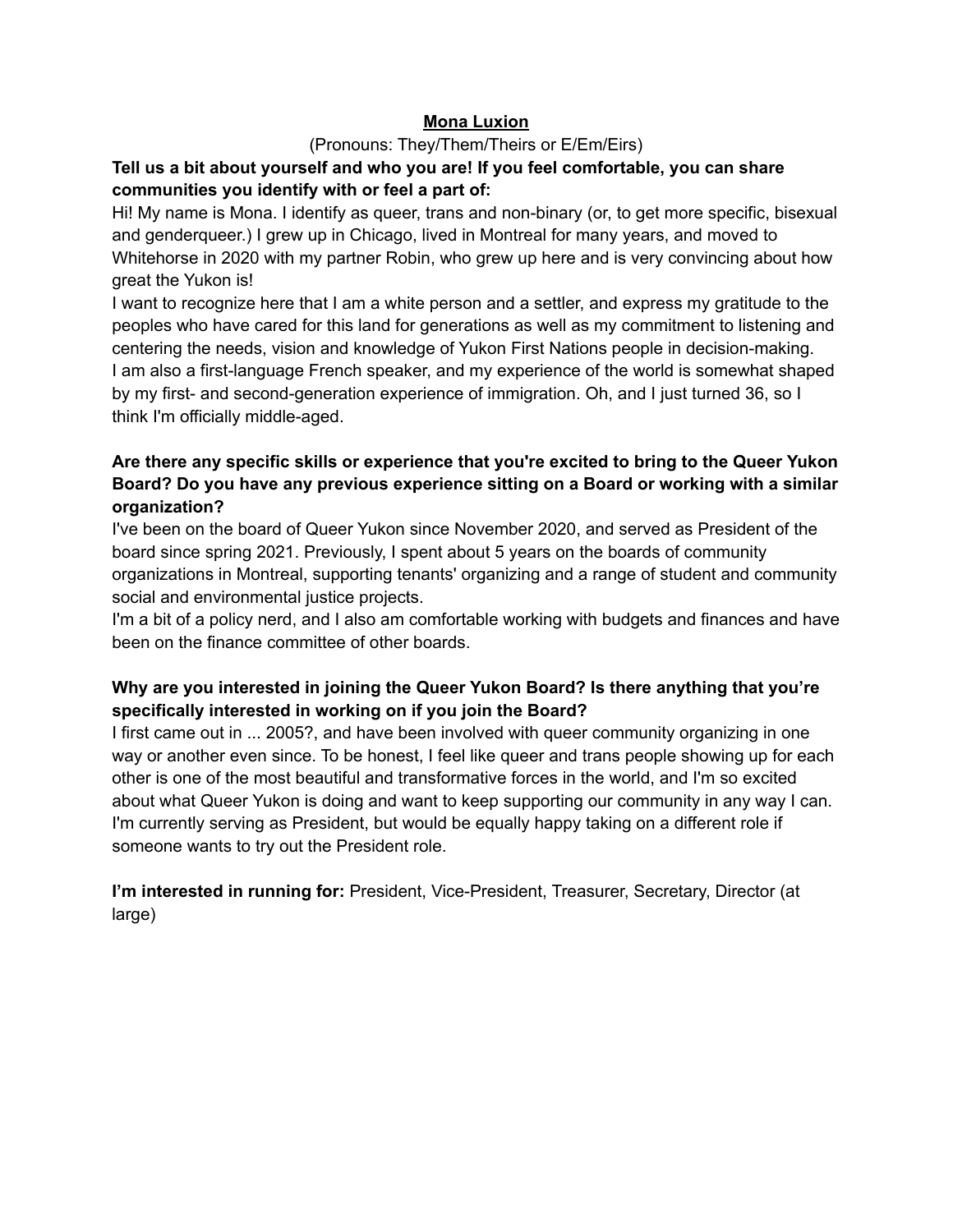#### **Mona Luxion**

#### (Pronouns: They/Them/Theirs or E/Em/Eirs)

### **Tell us a bit about yourself and who you are! If you feel comfortable, you can share communities you identify with or feel a part of:**

Hi! My name is Mona. I identify as queer, trans and non-binary (or, to get more specific, bisexual and genderqueer.) I grew up in Chicago, lived in Montreal for many years, and moved to Whitehorse in 2020 with my partner Robin, who grew up here and is very convincing about how great the Yukon is!

I want to recognize here that I am a white person and a settler, and express my gratitude to the peoples who have cared for this land for generations as well as my commitment to listening and centering the needs, vision and knowledge of Yukon First Nations people in decision-making. I am also a first-language French speaker, and my experience of the world is somewhat shaped by my first- and second-generation experience of immigration. Oh, and I just turned 36, so I think I'm officially middle-aged.

#### **Are there any specific skills or experience that you're excited to bring to the Queer Yukon Board? Do you have any previous experience sitting on a Board or working with a similar organization?**

I've been on the board of Queer Yukon since November 2020, and served as President of the board since spring 2021. Previously, I spent about 5 years on the boards of community organizations in Montreal, supporting tenants' organizing and a range of student and community social and environmental justice projects.

I'm a bit of a policy nerd, and I also am comfortable working with budgets and finances and have been on the finance committee of other boards.

#### **Why are you interested in joining the Queer Yukon Board? Is there anything that you're specifically interested in working on if you join the Board?**

I first came out in ... 2005?, and have been involved with queer community organizing in one way or another even since. To be honest, I feel like queer and trans people showing up for each other is one of the most beautiful and transformative forces in the world, and I'm so excited about what Queer Yukon is doing and want to keep supporting our community in any way I can. I'm currently serving as President, but would be equally happy taking on a different role if someone wants to try out the President role.

**I'm interested in running for:** President, Vice-President, Treasurer, Secretary, Director (at large)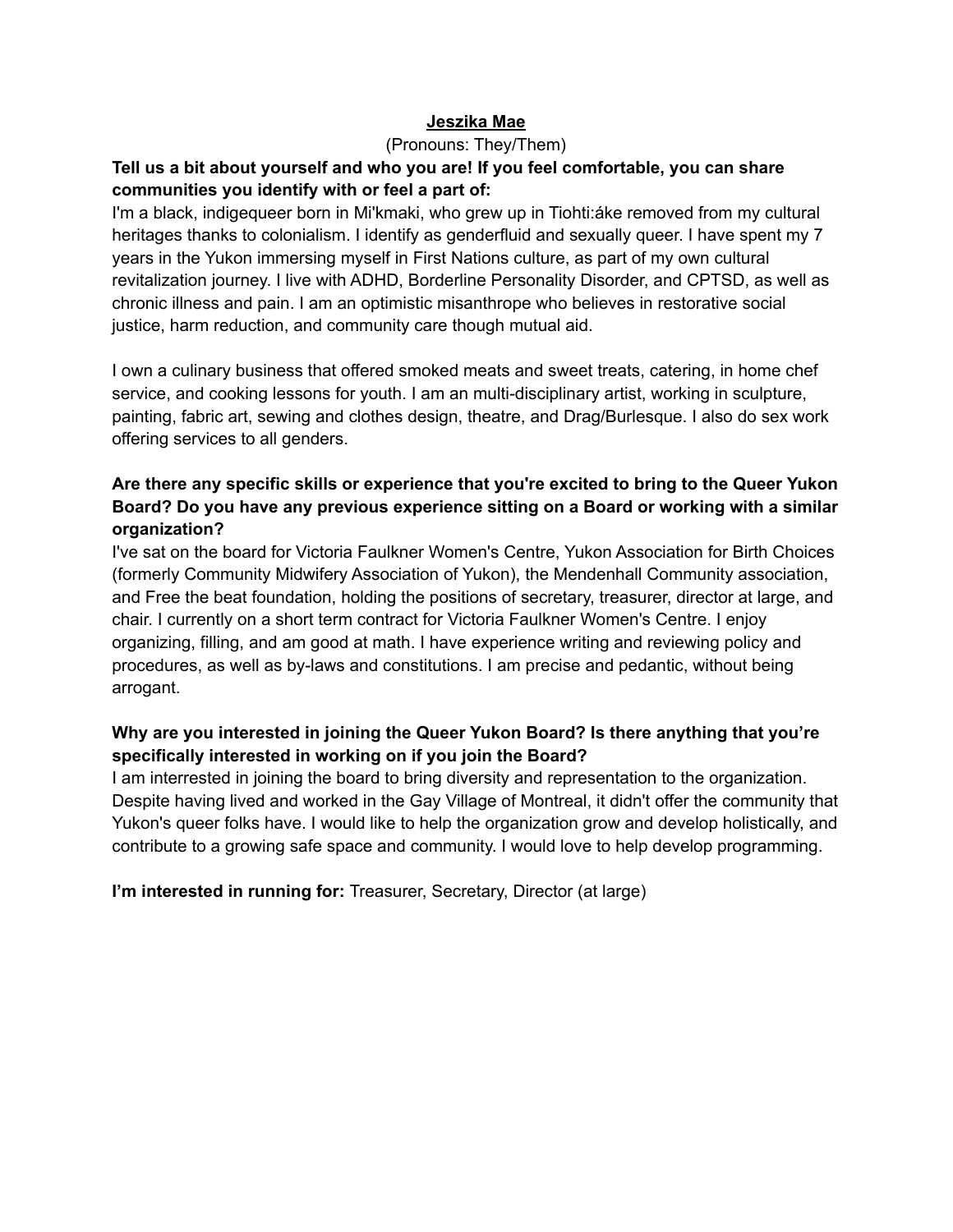#### **Jeszika Mae**

#### (Pronouns: They/Them)

#### **Tell us a bit about yourself and who you are! If you feel comfortable, you can share communities you identify with or feel a part of:**

I'm a black, indigequeer born in Mi'kmaki, who grew up in Tiohti:áke removed from my cultural heritages thanks to colonialism. I identify as genderfluid and sexually queer. I have spent my 7 years in the Yukon immersing myself in First Nations culture, as part of my own cultural revitalization journey. I live with ADHD, Borderline Personality Disorder, and CPTSD, as well as chronic illness and pain. I am an optimistic misanthrope who believes in restorative social justice, harm reduction, and community care though mutual aid.

I own a culinary business that offered smoked meats and sweet treats, catering, in home chef service, and cooking lessons for youth. I am an multi-disciplinary artist, working in sculpture, painting, fabric art, sewing and clothes design, theatre, and Drag/Burlesque. I also do sex work offering services to all genders.

#### **Are there any specific skills or experience that you're excited to bring to the Queer Yukon Board? Do you have any previous experience sitting on a Board or working with a similar organization?**

I've sat on the board for Victoria Faulkner Women's Centre, Yukon Association for Birth Choices (formerly Community Midwifery Association of Yukon), the Mendenhall Community association, and Free the beat foundation, holding the positions of secretary, treasurer, director at large, and chair. I currently on a short term contract for Victoria Faulkner Women's Centre. I enjoy organizing, filling, and am good at math. I have experience writing and reviewing policy and procedures, as well as by-laws and constitutions. I am precise and pedantic, without being arrogant.

## **Why are you interested in joining the Queer Yukon Board? Is there anything that you're specifically interested in working on if you join the Board?**

I am interrested in joining the board to bring diversity and representation to the organization. Despite having lived and worked in the Gay Village of Montreal, it didn't offer the community that Yukon's queer folks have. I would like to help the organization grow and develop holistically, and contribute to a growing safe space and community. I would love to help develop programming.

**I'm interested in running for:** Treasurer, Secretary, Director (at large)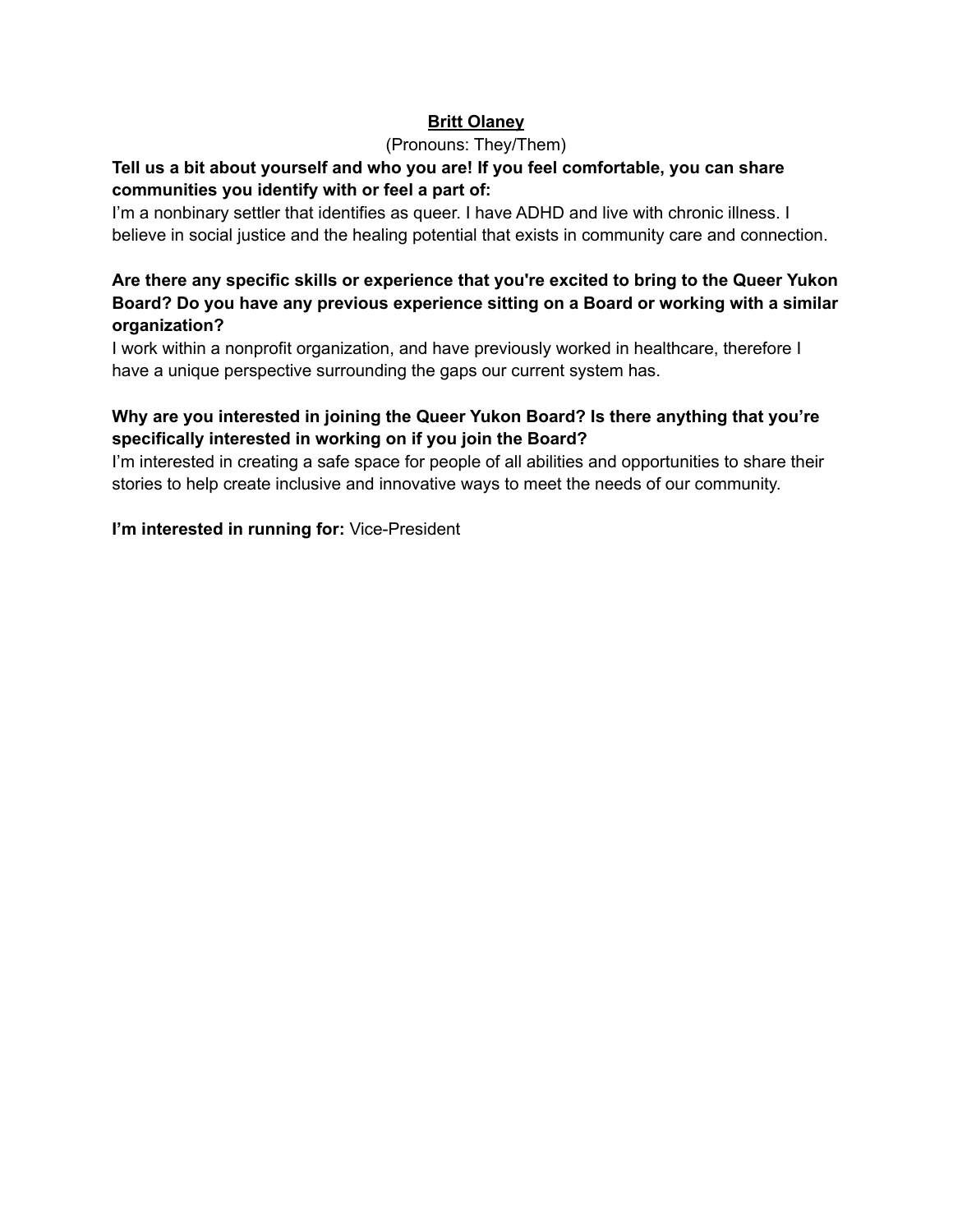#### **Britt Olaney**

#### (Pronouns: They/Them)

### **Tell us a bit about yourself and who you are! If you feel comfortable, you can share communities you identify with or feel a part of:**

I'm a nonbinary settler that identifies as queer. I have ADHD and live with chronic illness. I believe in social justice and the healing potential that exists in community care and connection.

### **Are there any specific skills or experience that you're excited to bring to the Queer Yukon Board? Do you have any previous experience sitting on a Board or working with a similar organization?**

I work within a nonprofit organization, and have previously worked in healthcare, therefore I have a unique perspective surrounding the gaps our current system has.

## **Why are you interested in joining the Queer Yukon Board? Is there anything that you're specifically interested in working on if you join the Board?**

I'm interested in creating a safe space for people of all abilities and opportunities to share their stories to help create inclusive and innovative ways to meet the needs of our community.

**I'm interested in running for:** Vice-President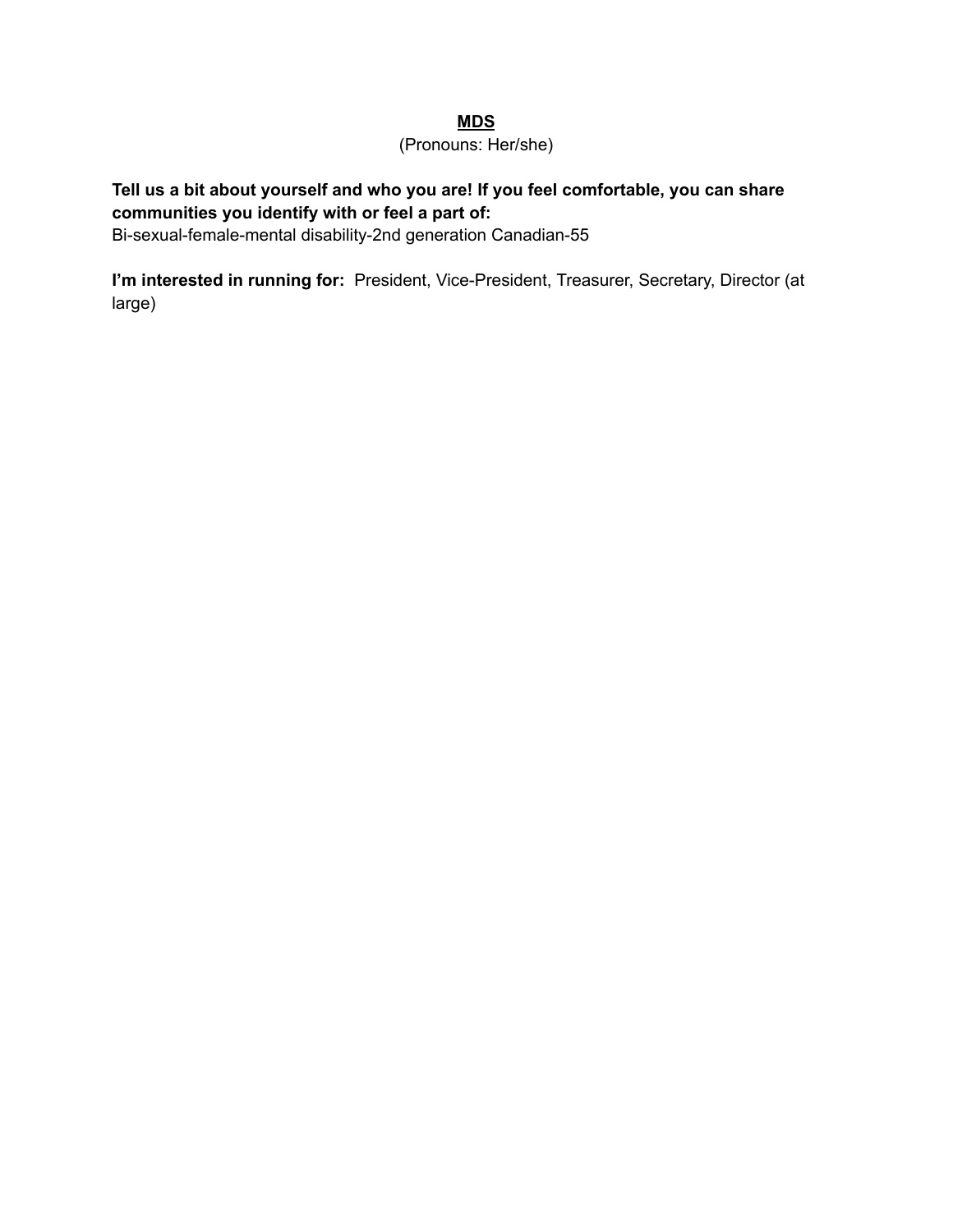#### **MDS**

#### (Pronouns: Her/she)

## **Tell us a bit about yourself and who you are! If you feel comfortable, you can share communities you identify with or feel a part of:**

Bi-sexual-female-mental disability-2nd generation Canadian-55

**I'm interested in running for:** President, Vice-President, Treasurer, Secretary, Director (at large)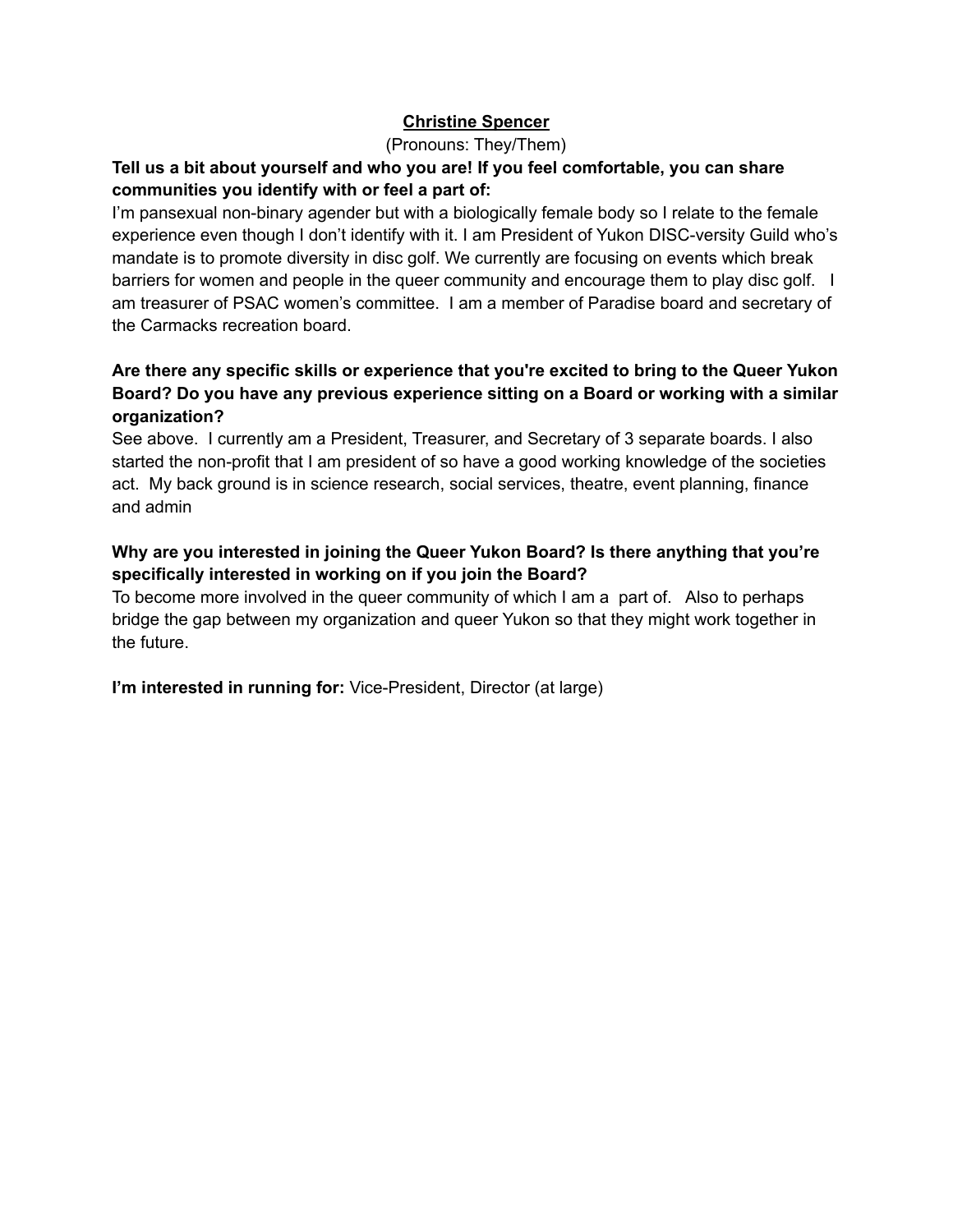### **Christine Spencer**

(Pronouns: They/Them)

### **Tell us a bit about yourself and who you are! If you feel comfortable, you can share communities you identify with or feel a part of:**

I'm pansexual non-binary agender but with a biologically female body so I relate to the female experience even though I don't identify with it. I am President of Yukon DISC-versity Guild who's mandate is to promote diversity in disc golf. We currently are focusing on events which break barriers for women and people in the queer community and encourage them to play disc golf. I am treasurer of PSAC women's committee. I am a member of Paradise board and secretary of the Carmacks recreation board.

### **Are there any specific skills or experience that you're excited to bring to the Queer Yukon Board? Do you have any previous experience sitting on a Board or working with a similar organization?**

See above. I currently am a President, Treasurer, and Secretary of 3 separate boards. I also started the non-profit that I am president of so have a good working knowledge of the societies act. My back ground is in science research, social services, theatre, event planning, finance and admin

## **Why are you interested in joining the Queer Yukon Board? Is there anything that you're specifically interested in working on if you join the Board?**

To become more involved in the queer community of which I am a part of. Also to perhaps bridge the gap between my organization and queer Yukon so that they might work together in the future.

**I'm interested in running for:** Vice-President, Director (at large)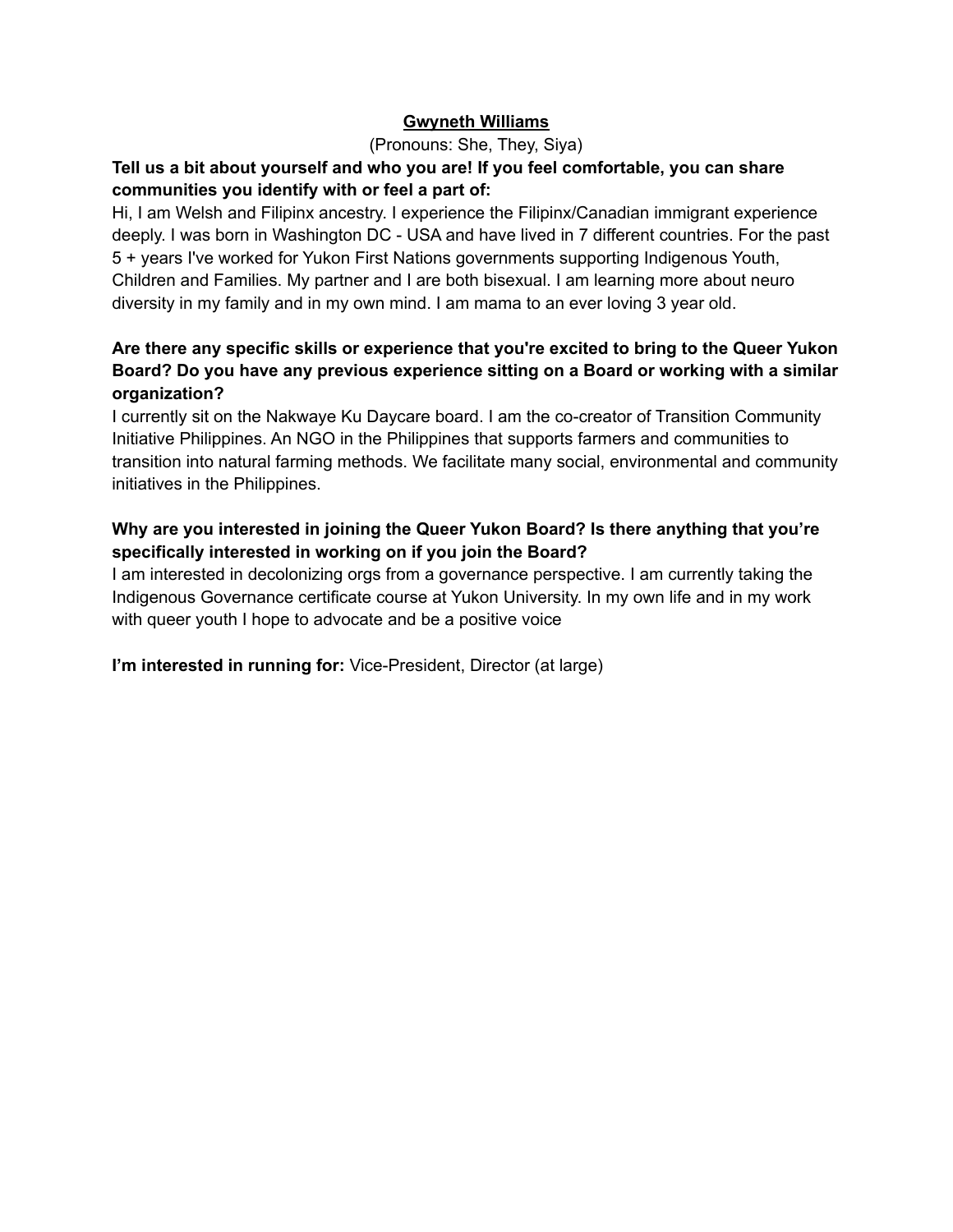#### **Gwyneth Williams**

(Pronouns: She, They, Siya)

#### **Tell us a bit about yourself and who you are! If you feel comfortable, you can share communities you identify with or feel a part of:**

Hi, I am Welsh and Filipinx ancestry. I experience the Filipinx/Canadian immigrant experience deeply. I was born in Washington DC - USA and have lived in 7 different countries. For the past 5 + years I've worked for Yukon First Nations governments supporting Indigenous Youth, Children and Families. My partner and I are both bisexual. I am learning more about neuro diversity in my family and in my own mind. I am mama to an ever loving 3 year old.

### **Are there any specific skills or experience that you're excited to bring to the Queer Yukon Board? Do you have any previous experience sitting on a Board or working with a similar organization?**

I currently sit on the Nakwaye Ku Daycare board. I am the co-creator of Transition Community Initiative Philippines. An NGO in the Philippines that supports farmers and communities to transition into natural farming methods. We facilitate many social, environmental and community initiatives in the Philippines.

## **Why are you interested in joining the Queer Yukon Board? Is there anything that you're specifically interested in working on if you join the Board?**

I am interested in decolonizing orgs from a governance perspective. I am currently taking the Indigenous Governance certificate course at Yukon University. In my own life and in my work with queer youth I hope to advocate and be a positive voice

**I'm interested in running for:** Vice-President, Director (at large)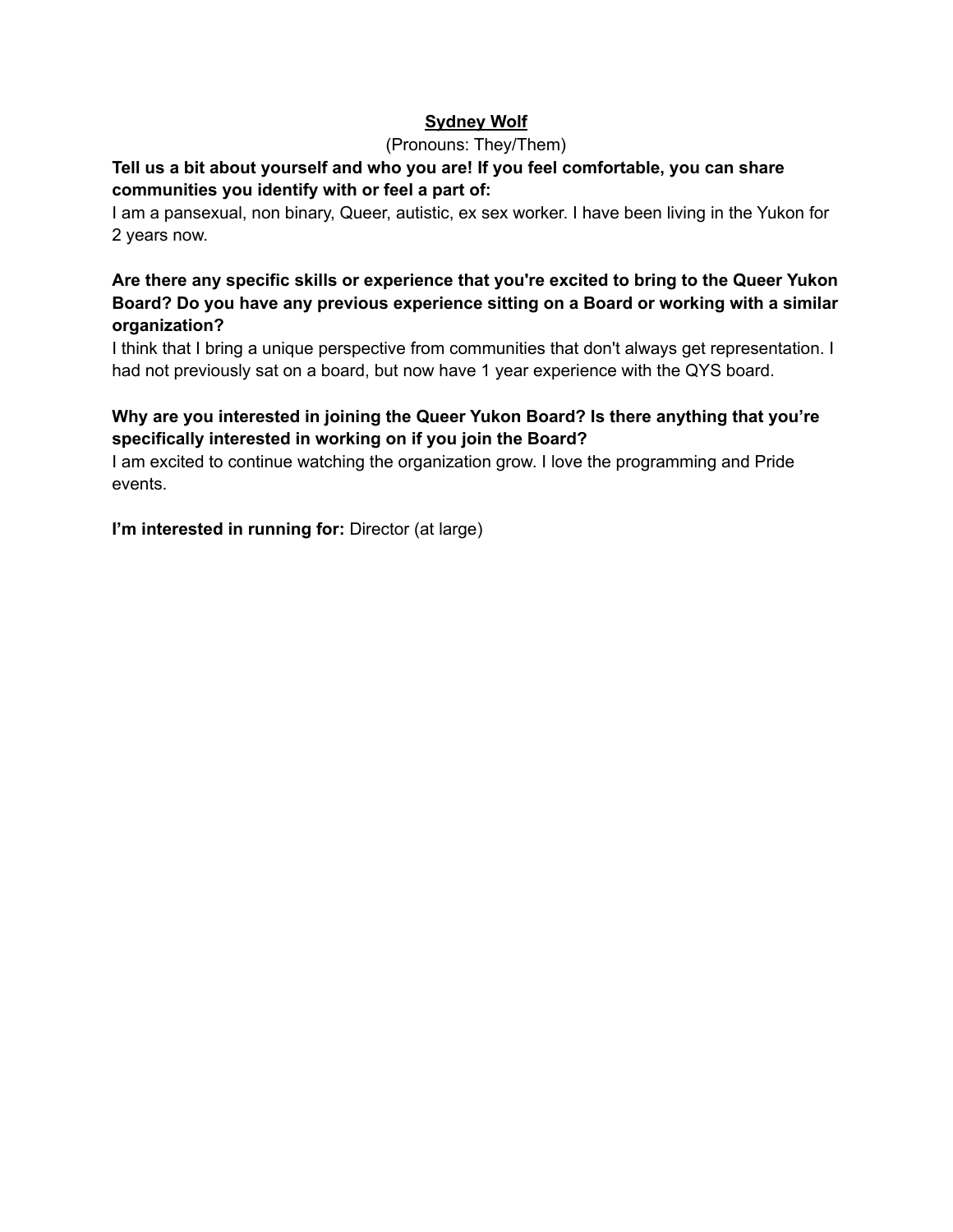## **Sydney Wolf**

#### (Pronouns: They/Them)

### **Tell us a bit about yourself and who you are! If you feel comfortable, you can share communities you identify with or feel a part of:**

I am a pansexual, non binary, Queer, autistic, ex sex worker. I have been living in the Yukon for 2 years now.

#### **Are there any specific skills or experience that you're excited to bring to the Queer Yukon Board? Do you have any previous experience sitting on a Board or working with a similar organization?**

I think that I bring a unique perspective from communities that don't always get representation. I had not previously sat on a board, but now have 1 year experience with the QYS board.

## **Why are you interested in joining the Queer Yukon Board? Is there anything that you're specifically interested in working on if you join the Board?**

I am excited to continue watching the organization grow. I love the programming and Pride events.

**I'm interested in running for:** Director (at large)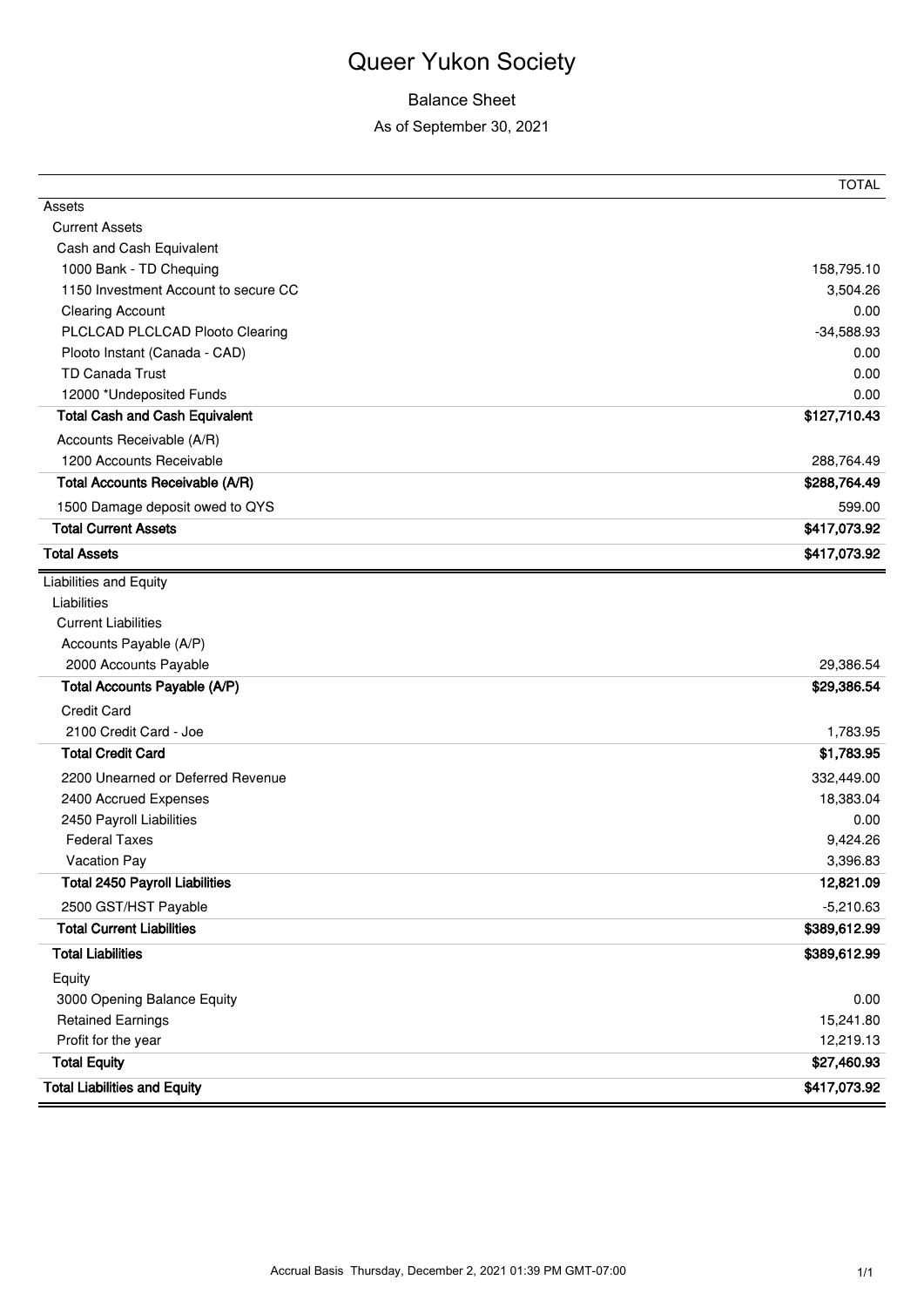## Balance Sheet

As of September 30, 2021

|                                        | <b>TOTAL</b> |
|----------------------------------------|--------------|
| Assets                                 |              |
| <b>Current Assets</b>                  |              |
| Cash and Cash Equivalent               |              |
| 1000 Bank - TD Chequing                | 158,795.10   |
| 1150 Investment Account to secure CC   | 3,504.26     |
| <b>Clearing Account</b>                | 0.00         |
| PLCLCAD PLCLCAD Plooto Clearing        | $-34,588.93$ |
| Plooto Instant (Canada - CAD)          | 0.00         |
| TD Canada Trust                        | 0.00         |
| 12000 *Undeposited Funds               | 0.00         |
| <b>Total Cash and Cash Equivalent</b>  | \$127,710.43 |
| Accounts Receivable (A/R)              |              |
| 1200 Accounts Receivable               | 288,764.49   |
| <b>Total Accounts Receivable (A/R)</b> | \$288,764.49 |
| 1500 Damage deposit owed to QYS        | 599.00       |
| <b>Total Current Assets</b>            | \$417,073.92 |
| <b>Total Assets</b>                    | \$417,073.92 |
| Liabilities and Equity                 |              |
| Liabilities                            |              |
| <b>Current Liabilities</b>             |              |
| Accounts Payable (A/P)                 |              |
| 2000 Accounts Payable                  | 29,386.54    |
| <b>Total Accounts Payable (A/P)</b>    | \$29,386.54  |
| <b>Credit Card</b>                     |              |
| 2100 Credit Card - Joe                 | 1,783.95     |
| <b>Total Credit Card</b>               | \$1,783.95   |
| 2200 Unearned or Deferred Revenue      | 332,449.00   |
| 2400 Accrued Expenses                  | 18,383.04    |
| 2450 Payroll Liabilities               | 0.00         |
| <b>Federal Taxes</b>                   | 9,424.26     |
| Vacation Pay                           | 3,396.83     |
| <b>Total 2450 Payroll Liabilities</b>  | 12,821.09    |
| 2500 GST/HST Payable                   | $-5,210.63$  |
| <b>Total Current Liabilities</b>       | \$389,612.99 |
| <b>Total Liabilities</b>               | \$389,612.99 |
| Equity                                 |              |
| 3000 Opening Balance Equity            | 0.00         |
| <b>Retained Earnings</b>               | 15,241.80    |
| Profit for the year                    | 12,219.13    |
| <b>Total Equity</b>                    | \$27,460.93  |
| <b>Total Liabilities and Equity</b>    | \$417,073.92 |
|                                        |              |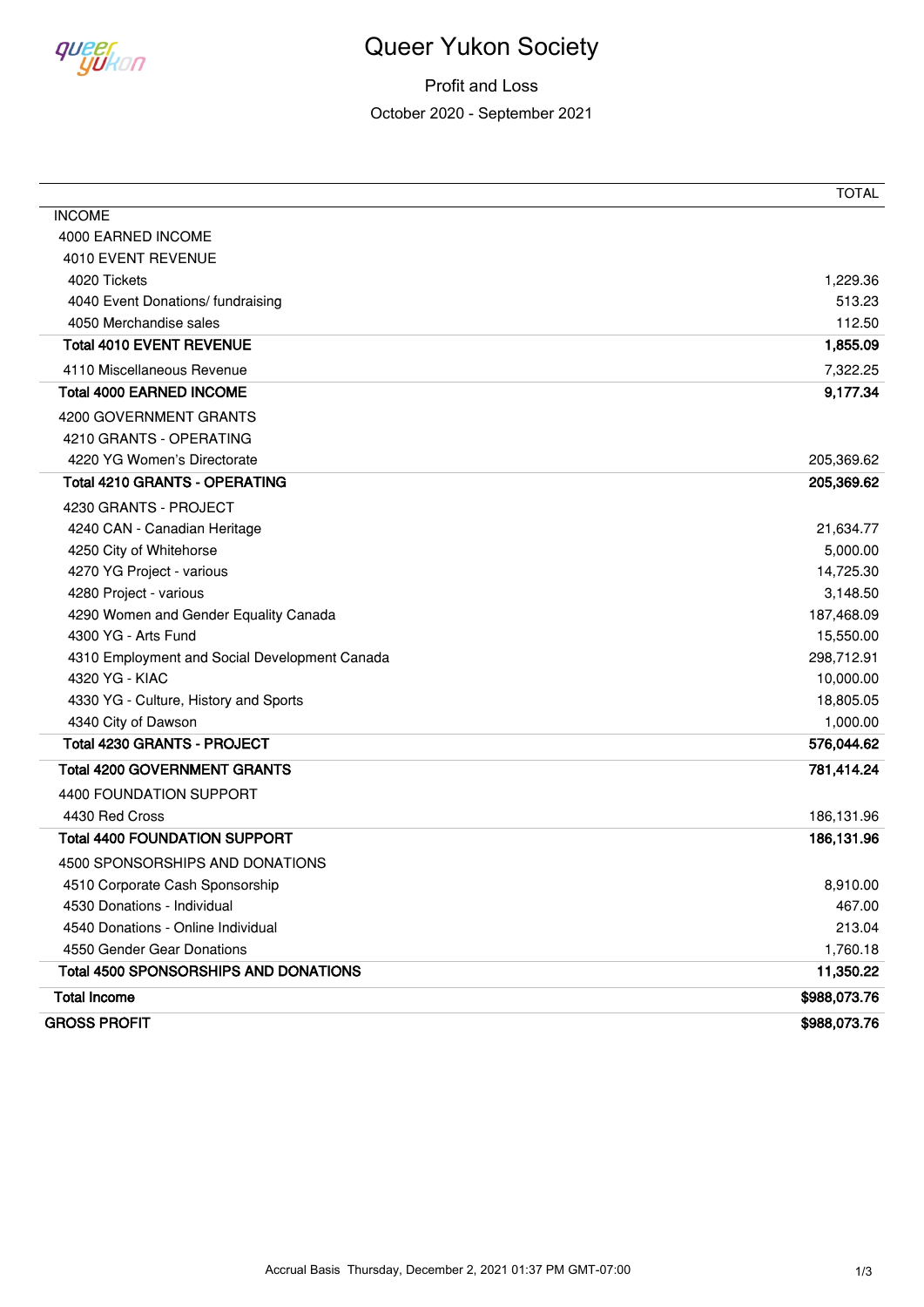

Profit and Loss October 2020 - September 2021

|                                               | <b>TOTAL</b> |
|-----------------------------------------------|--------------|
| <b>INCOME</b>                                 |              |
| 4000 EARNED INCOME                            |              |
| 4010 EVENT REVENUE                            |              |
| 4020 Tickets                                  | 1,229.36     |
| 4040 Event Donations/ fundraising             | 513.23       |
| 4050 Merchandise sales                        | 112.50       |
| <b>Total 4010 EVENT REVENUE</b>               | 1,855.09     |
| 4110 Miscellaneous Revenue                    | 7,322.25     |
| <b>Total 4000 EARNED INCOME</b>               | 9,177.34     |
| 4200 GOVERNMENT GRANTS                        |              |
| 4210 GRANTS - OPERATING                       |              |
| 4220 YG Women's Directorate                   | 205,369.62   |
| <b>Total 4210 GRANTS - OPERATING</b>          | 205,369.62   |
| 4230 GRANTS - PROJECT                         |              |
| 4240 CAN - Canadian Heritage                  | 21,634.77    |
| 4250 City of Whitehorse                       | 5,000.00     |
| 4270 YG Project - various                     | 14,725.30    |
| 4280 Project - various                        | 3,148.50     |
| 4290 Women and Gender Equality Canada         | 187,468.09   |
| 4300 YG - Arts Fund                           | 15,550.00    |
| 4310 Employment and Social Development Canada | 298,712.91   |
| 4320 YG - KIAC                                | 10,000.00    |
| 4330 YG - Culture, History and Sports         | 18,805.05    |
| 4340 City of Dawson                           | 1,000.00     |
| <b>Total 4230 GRANTS - PROJECT</b>            | 576,044.62   |
| <b>Total 4200 GOVERNMENT GRANTS</b>           | 781,414.24   |
| 4400 FOUNDATION SUPPORT                       |              |
| 4430 Red Cross                                | 186,131.96   |
| <b>Total 4400 FOUNDATION SUPPORT</b>          | 186,131.96   |
| 4500 SPONSORSHIPS AND DONATIONS               |              |
| 4510 Corporate Cash Sponsorship               | 8,910.00     |
| 4530 Donations - Individual                   | 467.00       |
| 4540 Donations - Online Individual            | 213.04       |
| 4550 Gender Gear Donations                    | 1,760.18     |
| <b>Total 4500 SPONSORSHIPS AND DONATIONS</b>  | 11,350.22    |
| <b>Total Income</b>                           | \$988,073.76 |
| <b>GROSS PROFIT</b>                           | \$988,073.76 |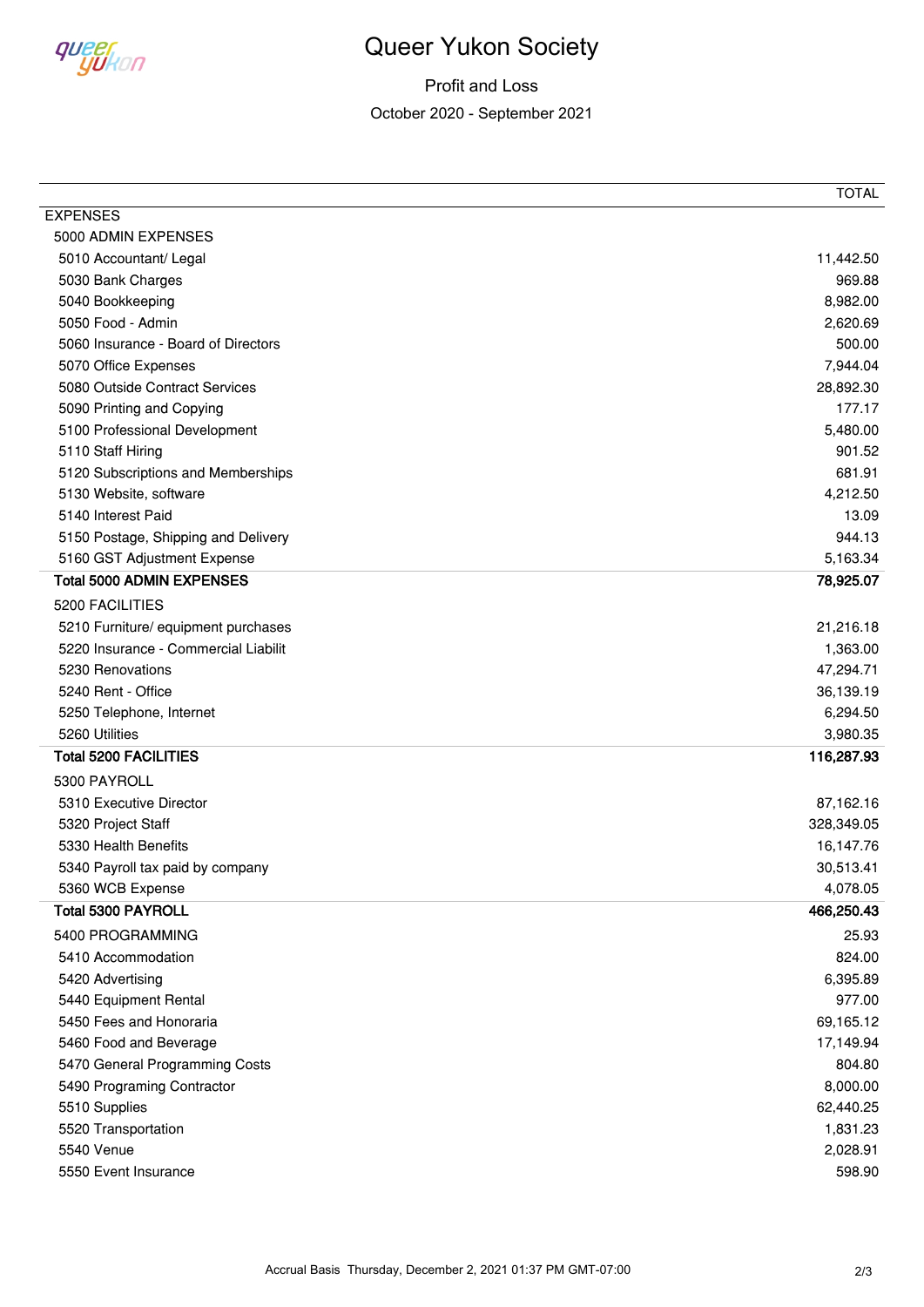

Profit and Loss October 2020 - September 2021

|                                      | <b>TOTAL</b> |
|--------------------------------------|--------------|
| <b>EXPENSES</b>                      |              |
| 5000 ADMIN EXPENSES                  |              |
| 5010 Accountant/ Legal               | 11,442.50    |
| 5030 Bank Charges                    | 969.88       |
| 5040 Bookkeeping                     | 8,982.00     |
| 5050 Food - Admin                    | 2,620.69     |
| 5060 Insurance - Board of Directors  | 500.00       |
| 5070 Office Expenses                 | 7,944.04     |
| 5080 Outside Contract Services       | 28,892.30    |
| 5090 Printing and Copying            | 177.17       |
| 5100 Professional Development        | 5,480.00     |
| 5110 Staff Hiring                    | 901.52       |
| 5120 Subscriptions and Memberships   | 681.91       |
| 5130 Website, software               | 4,212.50     |
| 5140 Interest Paid                   | 13.09        |
| 5150 Postage, Shipping and Delivery  | 944.13       |
| 5160 GST Adjustment Expense          | 5,163.34     |
| <b>Total 5000 ADMIN EXPENSES</b>     | 78,925.07    |
| 5200 FACILITIES                      |              |
| 5210 Furniture/ equipment purchases  | 21,216.18    |
| 5220 Insurance - Commercial Liabilit | 1,363.00     |
| 5230 Renovations                     | 47,294.71    |
| 5240 Rent - Office                   | 36,139.19    |
| 5250 Telephone, Internet             | 6,294.50     |
| 5260 Utilities                       | 3,980.35     |
| <b>Total 5200 FACILITIES</b>         | 116,287.93   |
| 5300 PAYROLL                         |              |
| 5310 Executive Director              | 87,162.16    |
| 5320 Project Staff                   | 328,349.05   |
| 5330 Health Benefits                 | 16,147.76    |
| 5340 Payroll tax paid by company     | 30,513.41    |
| 5360 WCB Expense                     | 4,078.05     |
| <b>Total 5300 PAYROLL</b>            | 466,250.43   |
| 5400 PROGRAMMING                     | 25.93        |
| 5410 Accommodation                   | 824.00       |
| 5420 Advertising                     | 6,395.89     |
| 5440 Equipment Rental                | 977.00       |
| 5450 Fees and Honoraria              | 69,165.12    |
| 5460 Food and Beverage               | 17,149.94    |
| 5470 General Programming Costs       | 804.80       |
| 5490 Programing Contractor           | 8,000.00     |
| 5510 Supplies                        | 62,440.25    |
| 5520 Transportation                  | 1,831.23     |
| 5540 Venue                           | 2,028.91     |
| 5550 Event Insurance                 | 598.90       |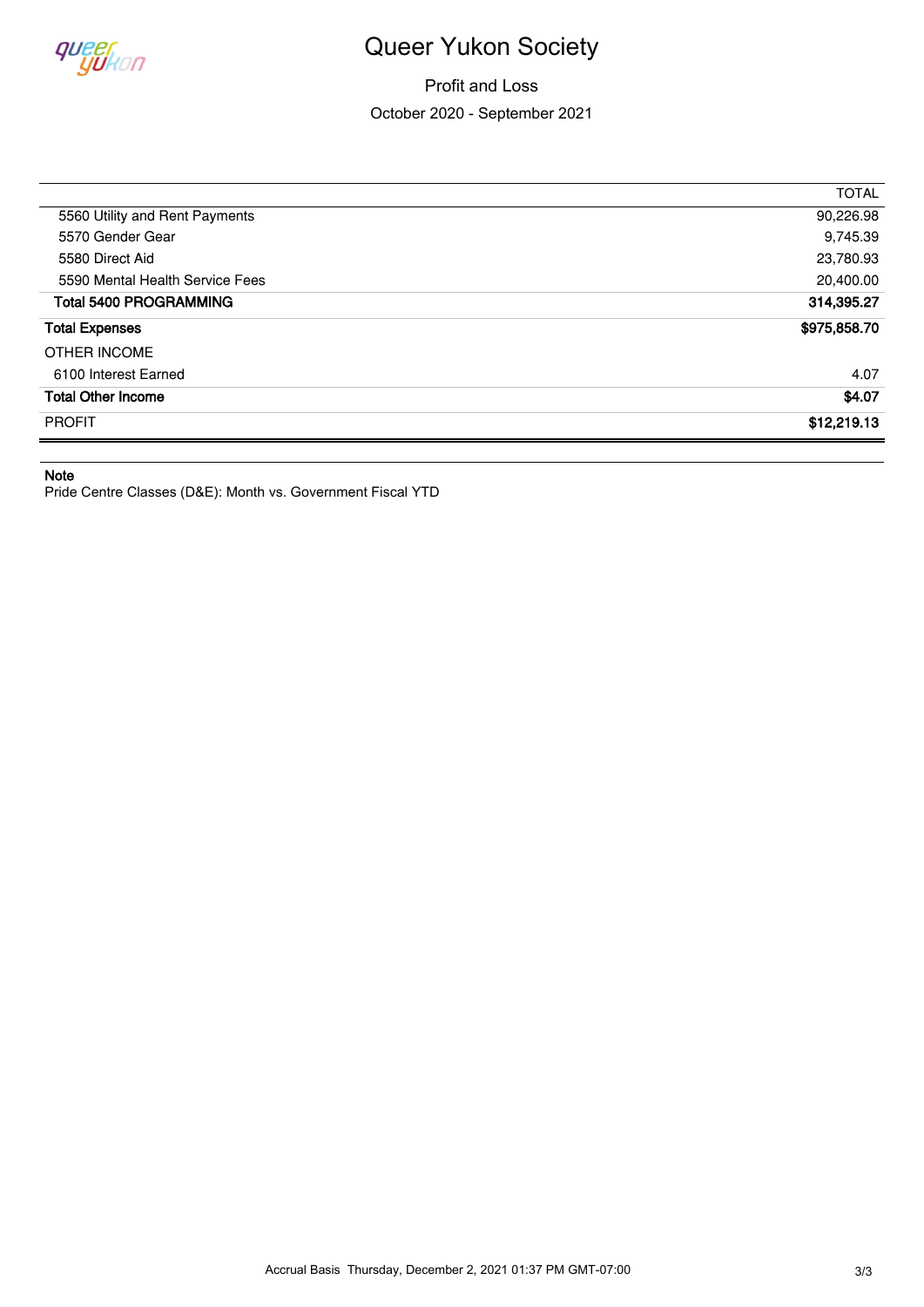

Profit and Loss October 2020 - September 2021

| \$975,858.70<br>4.07<br>\$4.07 |
|--------------------------------|
|                                |
|                                |
|                                |
|                                |
| 314,395.27                     |
| 20,400.00                      |
| 23,780.93                      |
| 9,745.39                       |
| 90,226.98                      |
| <b>TOTAL</b>                   |
|                                |

**Note**

Pride Centre Classes (D&E): Month vs. Government Fiscal YTD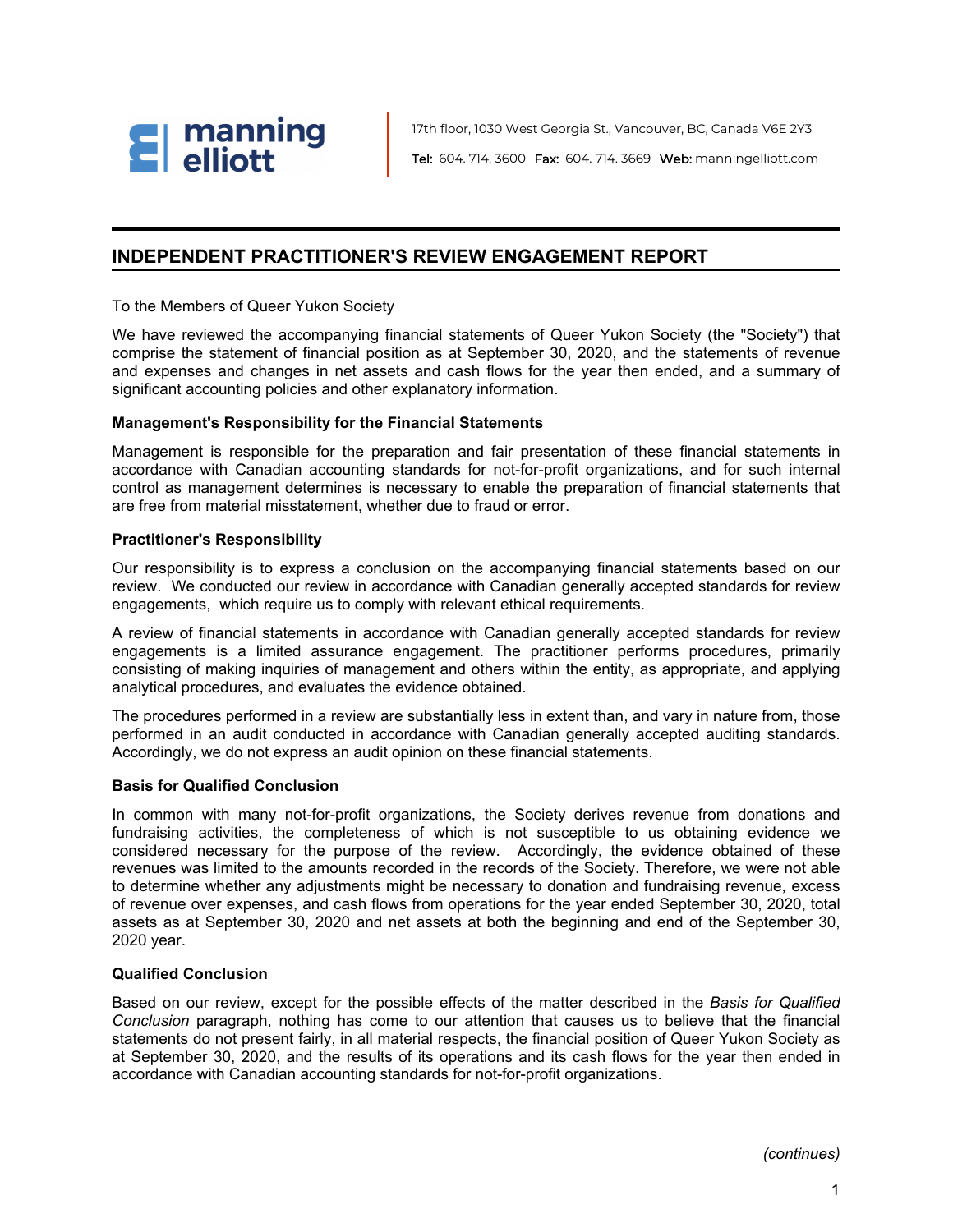

17th floor, 1030 West Georgia St., Vancouver, BC, Canada V6E 2Y3 Tel: 604. 714. 3600 Fax: 604. 714. 3669 Web: manningelliott.com

### **INDEPENDENT PRACTITIONER'S REVIEW ENGAGEMENT REPORT**

To the Members of Queer Yukon Society

We have reviewed the accompanying financial statements of Queer Yukon Society (the "Society") that comprise the statement of financial position as at September 30, 2020, and the statements of revenue and expenses and changes in net assets and cash flows for the year then ended, and a summary of significant accounting policies and other explanatory information.

#### **Management's Responsibility for the Financial Statements**

Management is responsible for the preparation and fair presentation of these financial statements in accordance with Canadian accounting standards for not-for-profit organizations, and for such internal control as management determines is necessary to enable the preparation of financial statements that are free from material misstatement, whether due to fraud or error.

#### **Practitioner's Responsibility**

Our responsibility is to express a conclusion on the accompanying financial statements based on our review. We conducted our review in accordance with Canadian generally accepted standards for review engagements, which require us to comply with relevant ethical requirements.

A review of financial statements in accordance with Canadian generally accepted standards for review engagements is a limited assurance engagement. The practitioner performs procedures, primarily consisting of making inquiries of management and others within the entity, as appropriate, and applying analytical procedures, and evaluates the evidence obtained.

The procedures performed in a review are substantially less in extent than, and vary in nature from, those performed in an audit conducted in accordance with Canadian generally accepted auditing standards. Accordingly, we do not express an audit opinion on these financial statements.

#### **Basis for Qualified Conclusion**

In common with many not-for-profit organizations, the Society derives revenue from donations and fundraising activities, the completeness of which is not susceptible to us obtaining evidence we considered necessary for the purpose of the review. Accordingly, the evidence obtained of these revenues was limited to the amounts recorded in the records of the Society. Therefore, we were not able to determine whether any adjustments might be necessary to donation and fundraising revenue, excess of revenue over expenses, and cash flows from operations for the year ended September 30, 2020, total assets as at September 30, 2020 and net assets at both the beginning and end of the September 30, 2020 year.

#### **Qualified Conclusion**

Based on our review, except for the possible effects of the matter described in the *Basis for Qualified Conclusion* paragraph, nothing has come to our attention that causes us to believe that the financial statements do not present fairly, in all material respects, the financial position of Queer Yukon Society as at September 30, 2020, and the results of its operations and its cash flows for the year then ended in accordance with Canadian accounting standards for not-for-profit organizations.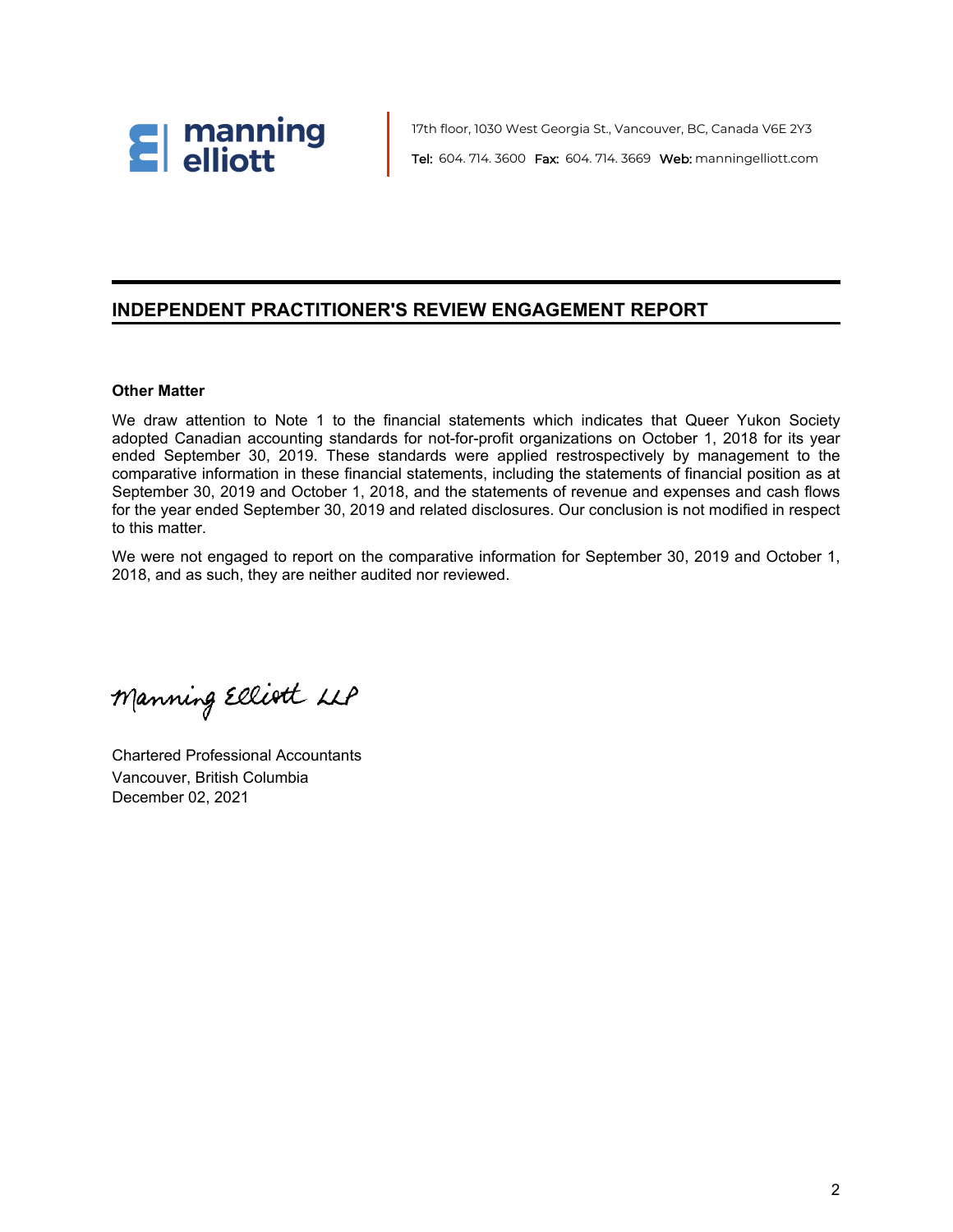

17th floor, 1030 West Georgia St., Vancouver, BC, Canada V6E 2Y3 Tel: 604. 714. 3600 Fax: 604. 714. 3669 Web: manningelliott.com

#### **INDEPENDENT PRACTITIONER'S REVIEW ENGAGEMENT REPORT**

#### **Other Matter**

We draw attention to Note 1 to the financial statements which indicates that Queer Yukon Society adopted Canadian accounting standards for not-for-profit organizations on October 1, 2018 for its year ended September 30, 2019. These standards were applied restrospectively by management to the comparative information in these financial statements, including the statements of financial position as at September 30, 2019 and October 1, 2018, and the statements of revenue and expenses and cash flows for the year ended September 30, 2019 and related disclosures. Our conclusion is not modified in respect to this matter.

We were not engaged to report on the comparative information for September 30, 2019 and October 1, 2018, and as such, they are neither audited nor reviewed.

Manning Elliott LLP

Chartered Professional Accountants Vancouver, British Columbia December 02, 2021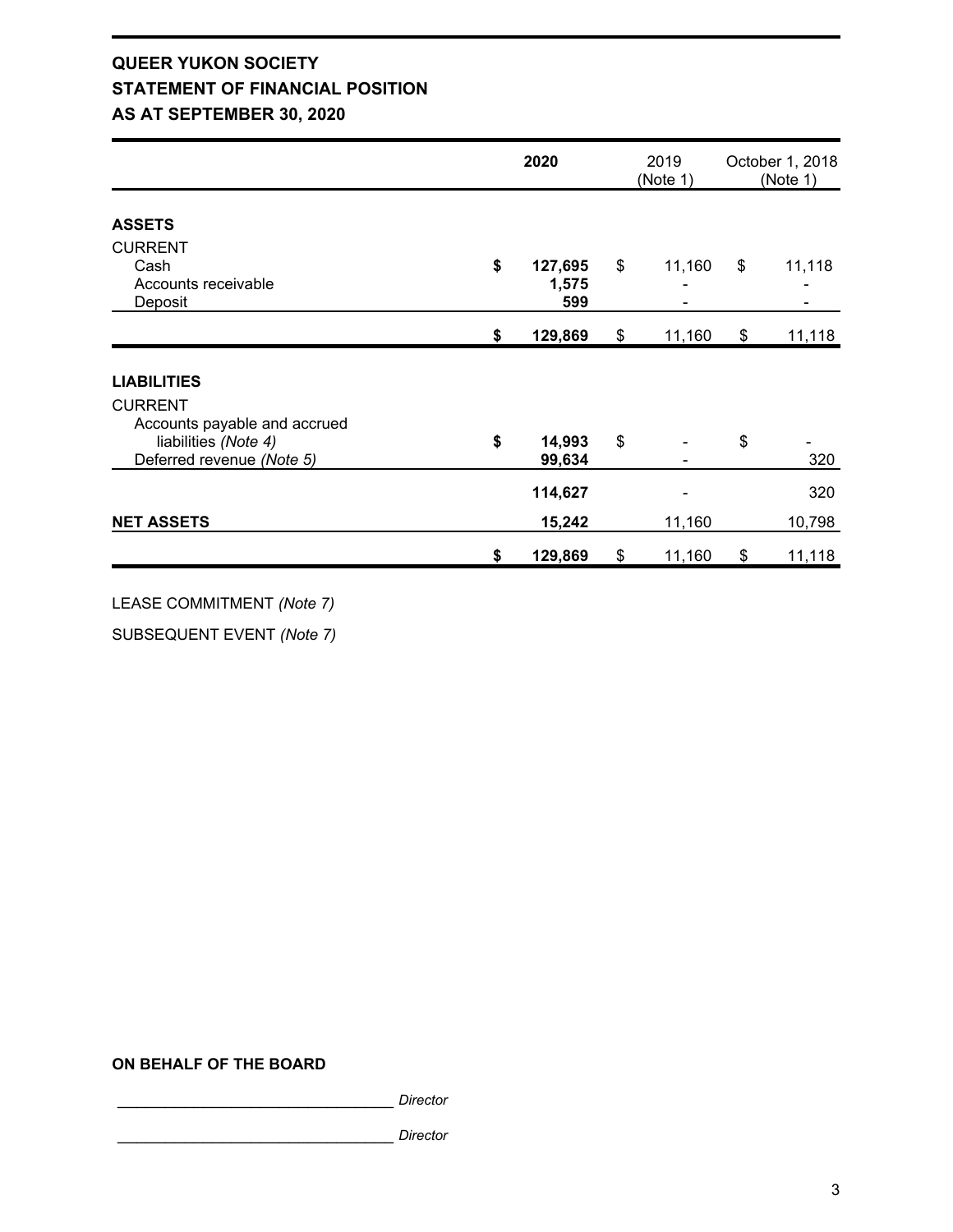## **QUEER YUKON SOCIETY STATEMENT OF FINANCIAL POSITION AS AT SEPTEMBER 30, 2020**

|                                                                                                                           | 2020                          |    | 2019<br>(Note 1) |    | October 1, 2018<br>(Note 1) |
|---------------------------------------------------------------------------------------------------------------------------|-------------------------------|----|------------------|----|-----------------------------|
| <b>ASSETS</b>                                                                                                             |                               |    |                  |    |                             |
| <b>CURRENT</b><br>Cash<br>Accounts receivable<br>Deposit                                                                  | \$<br>127,695<br>1,575<br>599 | \$ | 11,160           | \$ | 11,118                      |
|                                                                                                                           | \$<br>129,869                 | \$ | 11,160           | \$ | 11,118                      |
| <b>LIABILITIES</b><br><b>CURRENT</b><br>Accounts payable and accrued<br>liabilities (Note 4)<br>Deferred revenue (Note 5) | \$<br>14,993<br>99,634        | \$ |                  | \$ | 320                         |
| <b>NET ASSETS</b>                                                                                                         | 114,627<br>15,242             |    | 11,160           |    | 320<br>10,798               |
|                                                                                                                           | \$<br>129,869                 | \$ | 11,160           | \$ | 11,118                      |

LEASE COMMITMENT *(Note 7)*

SUBSEQUENT EVENT *(Note 7)*

#### **ON BEHALF OF THE BOARD**

\_\_\_\_\_\_\_\_\_\_\_\_\_\_\_\_\_\_\_\_\_\_\_\_\_\_\_\_\_ *Director* 

\_\_\_\_\_\_\_\_\_\_\_\_\_\_\_\_\_\_\_\_\_\_\_\_\_\_\_\_\_ *Director*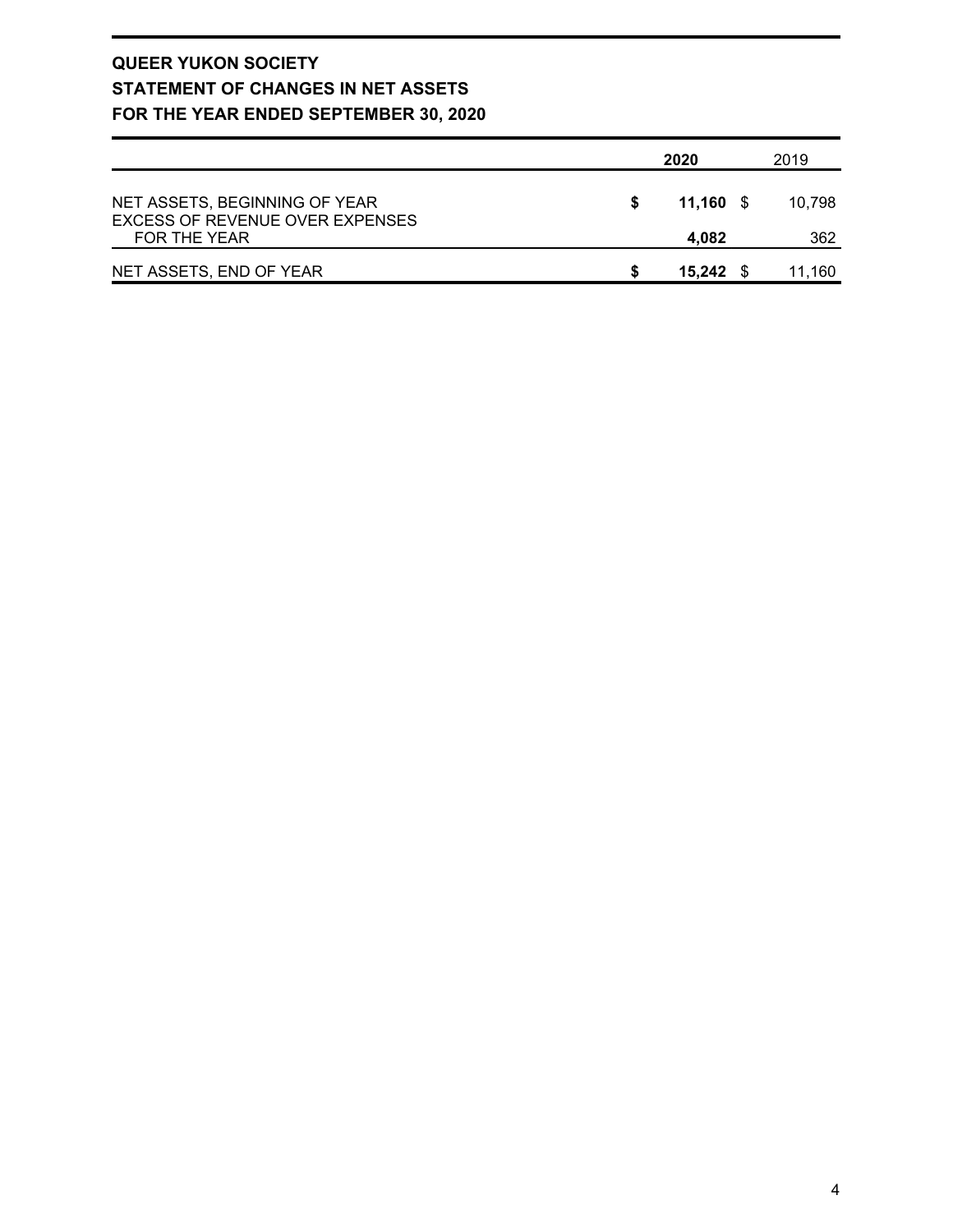## **QUEER YUKON SOCIETY STATEMENT OF CHANGES IN NET ASSETS FOR THE YEAR ENDED SEPTEMBER 30, 2020**

|                                                                  | 2020      | 2019   |
|------------------------------------------------------------------|-----------|--------|
| NET ASSETS, BEGINNING OF YEAR<br>EXCESS OF REVENUE OVER EXPENSES | 11.160 \$ | 10.798 |
| FOR THE YEAR                                                     | 4.082     | 362    |
| NET ASSETS, END OF YEAR                                          | 15.242 S  | 11.160 |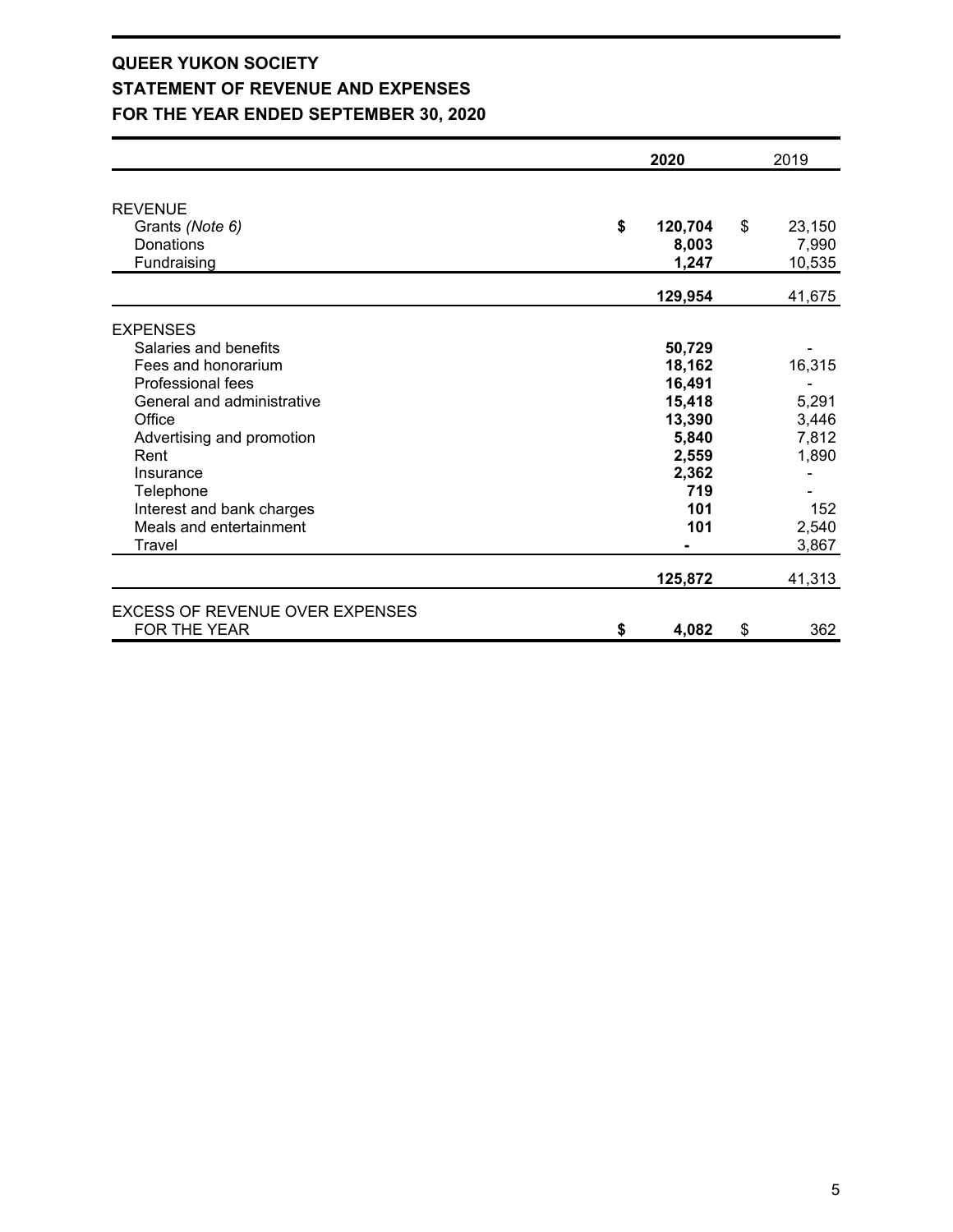## **QUEER YUKON SOCIETY STATEMENT OF REVENUE AND EXPENSES FOR THE YEAR ENDED SEPTEMBER 30, 2020**

|                                 | 2020          | 2019         |
|---------------------------------|---------------|--------------|
|                                 |               |              |
| <b>REVENUE</b>                  |               |              |
| Grants (Note 6)                 | \$<br>120,704 | \$<br>23,150 |
| <b>Donations</b>                | 8,003         | 7,990        |
| Fundraising                     | 1,247         | 10,535       |
|                                 | 129,954       | 41,675       |
| <b>EXPENSES</b>                 |               |              |
| Salaries and benefits           | 50,729        |              |
| Fees and honorarium             | 18,162        | 16,315       |
| Professional fees               | 16,491        |              |
| General and administrative      | 15,418        | 5,291        |
| Office                          | 13,390        | 3,446        |
| Advertising and promotion       | 5,840         | 7,812        |
| Rent                            | 2,559         | 1,890        |
| Insurance                       | 2,362         |              |
| Telephone                       | 719           |              |
| Interest and bank charges       | 101           | 152          |
| Meals and entertainment         | 101           | 2,540        |
| Travel                          |               | 3,867        |
|                                 | 125,872       | 41,313       |
| EXCESS OF REVENUE OVER EXPENSES |               |              |
| FOR THE YEAR                    | \$<br>4,082   | \$<br>362    |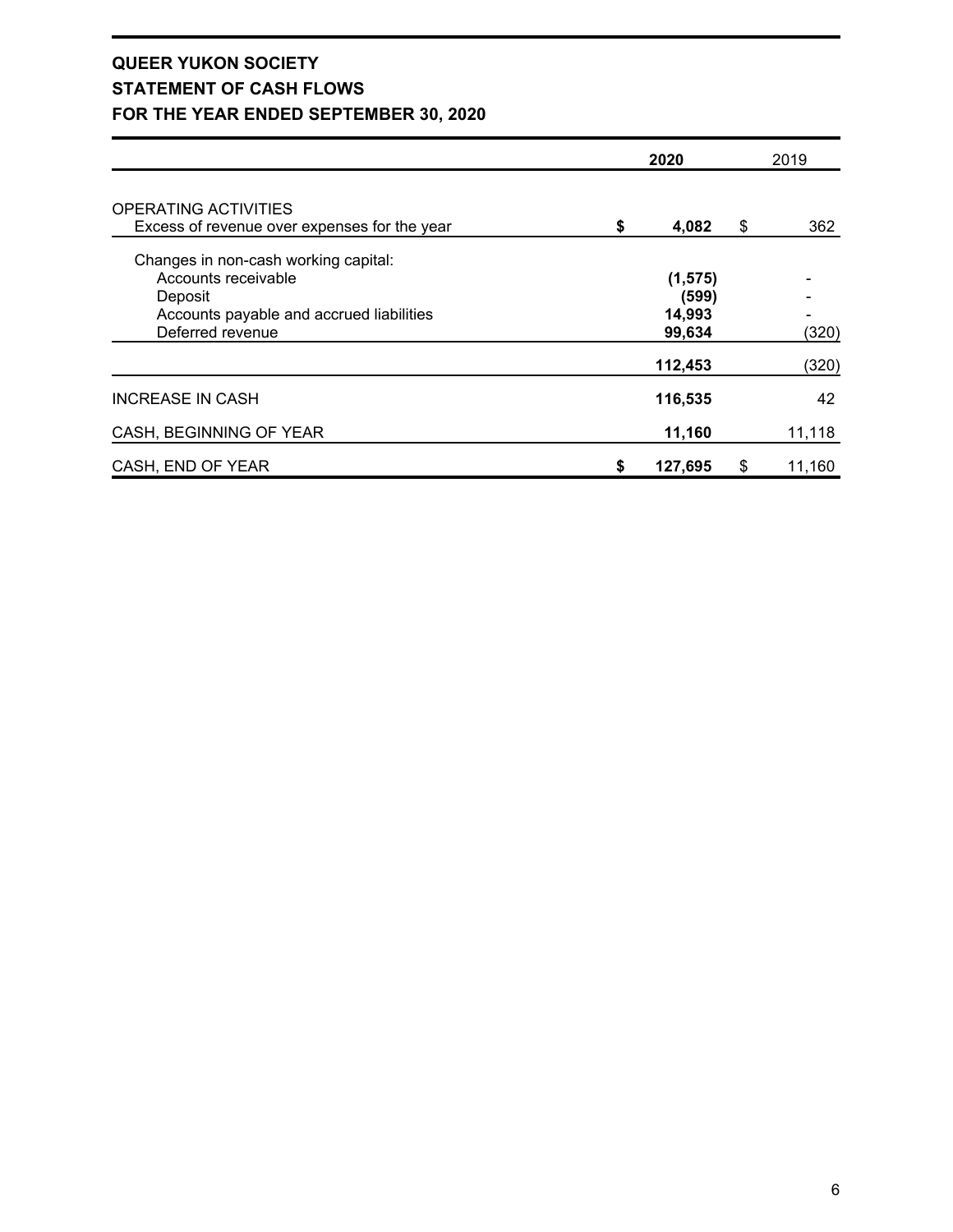## **QUEER YUKON SOCIETY STATEMENT OF CASH FLOWS FOR THE YEAR ENDED SEPTEMBER 30, 2020**

|                                                                                                                                        |    | 2020                                  | 2019 |        |  |
|----------------------------------------------------------------------------------------------------------------------------------------|----|---------------------------------------|------|--------|--|
| OPERATING ACTIVITIES<br>Excess of revenue over expenses for the year                                                                   | \$ | 4,082                                 | \$   | 362    |  |
| Changes in non-cash working capital:<br>Accounts receivable<br>Deposit<br>Accounts payable and accrued liabilities<br>Deferred revenue |    | (1, 575)<br>(599)<br>14,993<br>99,634 |      | (320)  |  |
|                                                                                                                                        |    | 112,453                               |      | (320)  |  |
| <b>INCREASE IN CASH</b>                                                                                                                |    | 116,535                               |      | 42     |  |
| CASH, BEGINNING OF YEAR                                                                                                                |    | 11,160                                |      | 11,118 |  |
| CASH, END OF YEAR                                                                                                                      | 5  | 127,695                               | \$   | 11,160 |  |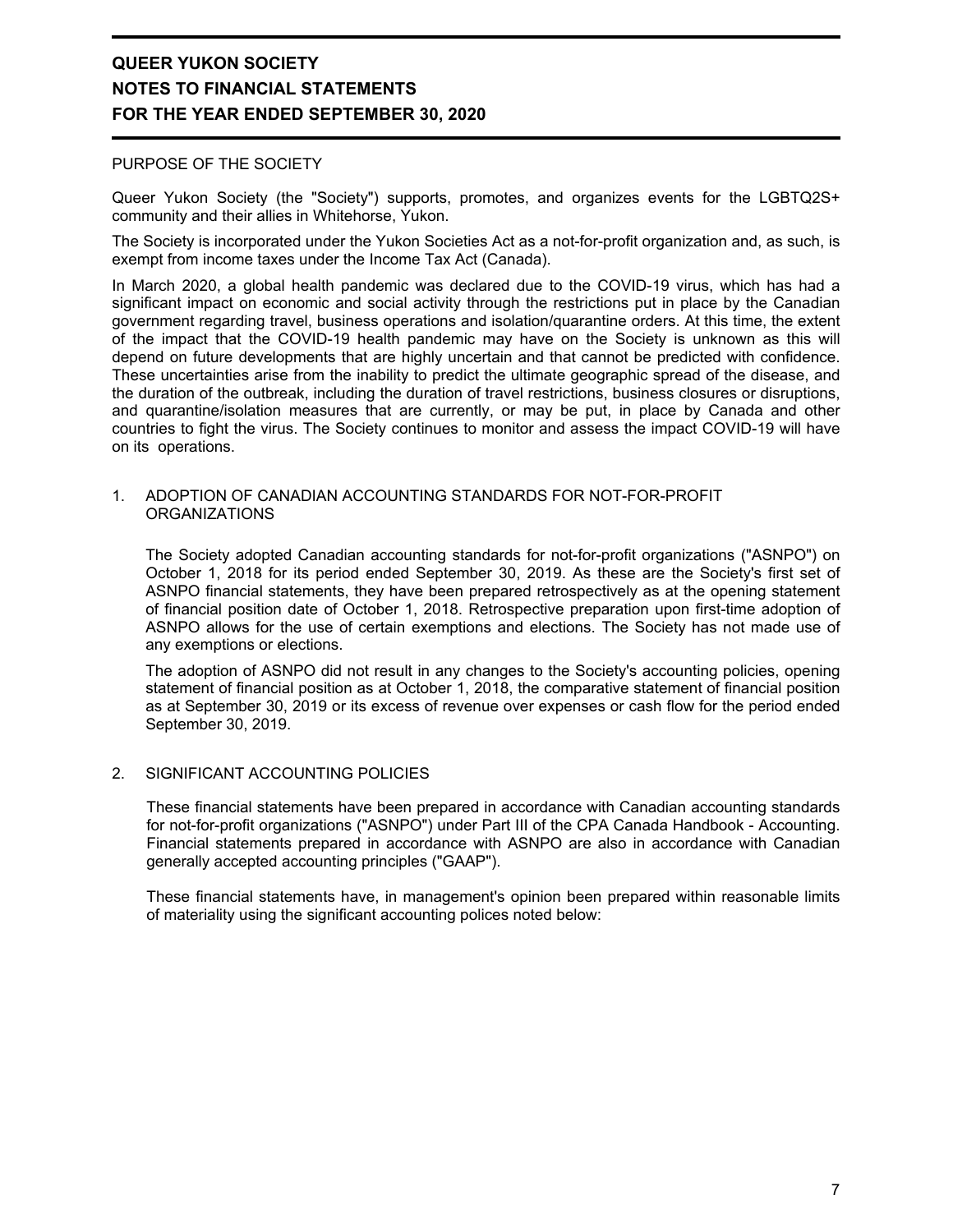#### PURPOSE OF THE SOCIETY

Queer Yukon Society (the "Society") supports, promotes, and organizes events for the LGBTQ2S+ community and their allies in Whitehorse, Yukon.

The Society is incorporated under the Yukon Societies Act as a not-for-profit organization and, as such, is exempt from income taxes under the Income Tax Act (Canada).

In March 2020, a global health pandemic was declared due to the COVID-19 virus, which has had a significant impact on economic and social activity through the restrictions put in place by the Canadian government regarding travel, business operations and isolation/quarantine orders. At this time, the extent of the impact that the COVID-19 health pandemic may have on the Society is unknown as this will depend on future developments that are highly uncertain and that cannot be predicted with confidence. These uncertainties arise from the inability to predict the ultimate geographic spread of the disease, and the duration of the outbreak, including the duration of travel restrictions, business closures or disruptions, and quarantine/isolation measures that are currently, or may be put, in place by Canada and other countries to fight the virus. The Society continues to monitor and assess the impact COVID-19 will have on its operations.

#### 1. ADOPTION OF CANADIAN ACCOUNTING STANDARDS FOR NOT-FOR-PROFIT ORGANIZATIONS

The Society adopted Canadian accounting standards for not-for-profit organizations ("ASNPO") on October 1, 2018 for its period ended September 30, 2019. As these are the Society's first set of ASNPO financial statements, they have been prepared retrospectively as at the opening statement of financial position date of October 1, 2018. Retrospective preparation upon first-time adoption of ASNPO allows for the use of certain exemptions and elections. The Society has not made use of any exemptions or elections.

The adoption of ASNPO did not result in any changes to the Society's accounting policies, opening statement of financial position as at October 1, 2018, the comparative statement of financial position as at September 30, 2019 or its excess of revenue over expenses or cash flow for the period ended September 30, 2019.

#### 2. SIGNIFICANT ACCOUNTING POLICIES

These financial statements have been prepared in accordance with Canadian accounting standards for not-for-profit organizations ("ASNPO") under Part III of the CPA Canada Handbook - Accounting. Financial statements prepared in accordance with ASNPO are also in accordance with Canadian generally accepted accounting principles ("GAAP").

These financial statements have, in management's opinion been prepared within reasonable limits of materiality using the significant accounting polices noted below: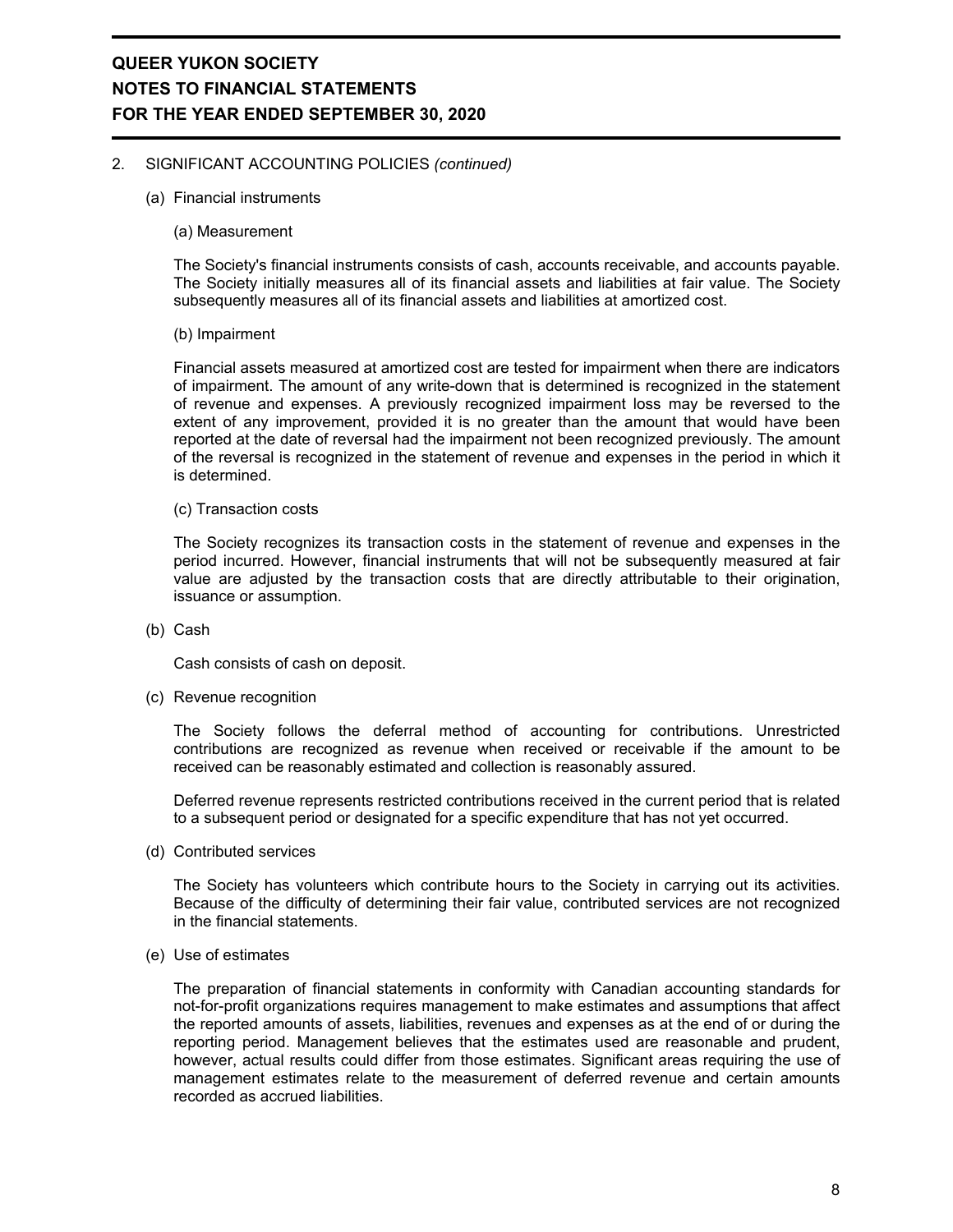#### 2. SIGNIFICANT ACCOUNTING POLICIES *(continued)*

- (a) Financial instruments
	- (a) Measurement

The Society's financial instruments consists of cash, accounts receivable, and accounts payable. The Society initially measures all of its financial assets and liabilities at fair value. The Society subsequently measures all of its financial assets and liabilities at amortized cost.

#### (b) Impairment

Financial assets measured at amortized cost are tested for impairment when there are indicators of impairment. The amount of any write-down that is determined is recognized in the statement of revenue and expenses. A previously recognized impairment loss may be reversed to the extent of any improvement, provided it is no greater than the amount that would have been reported at the date of reversal had the impairment not been recognized previously. The amount of the reversal is recognized in the statement of revenue and expenses in the period in which it is determined.

(c) Transaction costs

The Society recognizes its transaction costs in the statement of revenue and expenses in the period incurred. However, financial instruments that will not be subsequently measured at fair value are adjusted by the transaction costs that are directly attributable to their origination, issuance or assumption.

(b) Cash

Cash consists of cash on deposit.

(c) Revenue recognition

The Society follows the deferral method of accounting for contributions. Unrestricted contributions are recognized as revenue when received or receivable if the amount to be received can be reasonably estimated and collection is reasonably assured.

Deferred revenue represents restricted contributions received in the current period that is related to a subsequent period or designated for a specific expenditure that has not yet occurred.

(d) Contributed services

The Society has volunteers which contribute hours to the Society in carrying out its activities. Because of the difficulty of determining their fair value, contributed services are not recognized in the financial statements.

(e) Use of estimates

The preparation of financial statements in conformity with Canadian accounting standards for not-for-profit organizations requires management to make estimates and assumptions that affect the reported amounts of assets, liabilities, revenues and expenses as at the end of or during the reporting period. Management believes that the estimates used are reasonable and prudent, however, actual results could differ from those estimates. Significant areas requiring the use of management estimates relate to the measurement of deferred revenue and certain amounts recorded as accrued liabilities.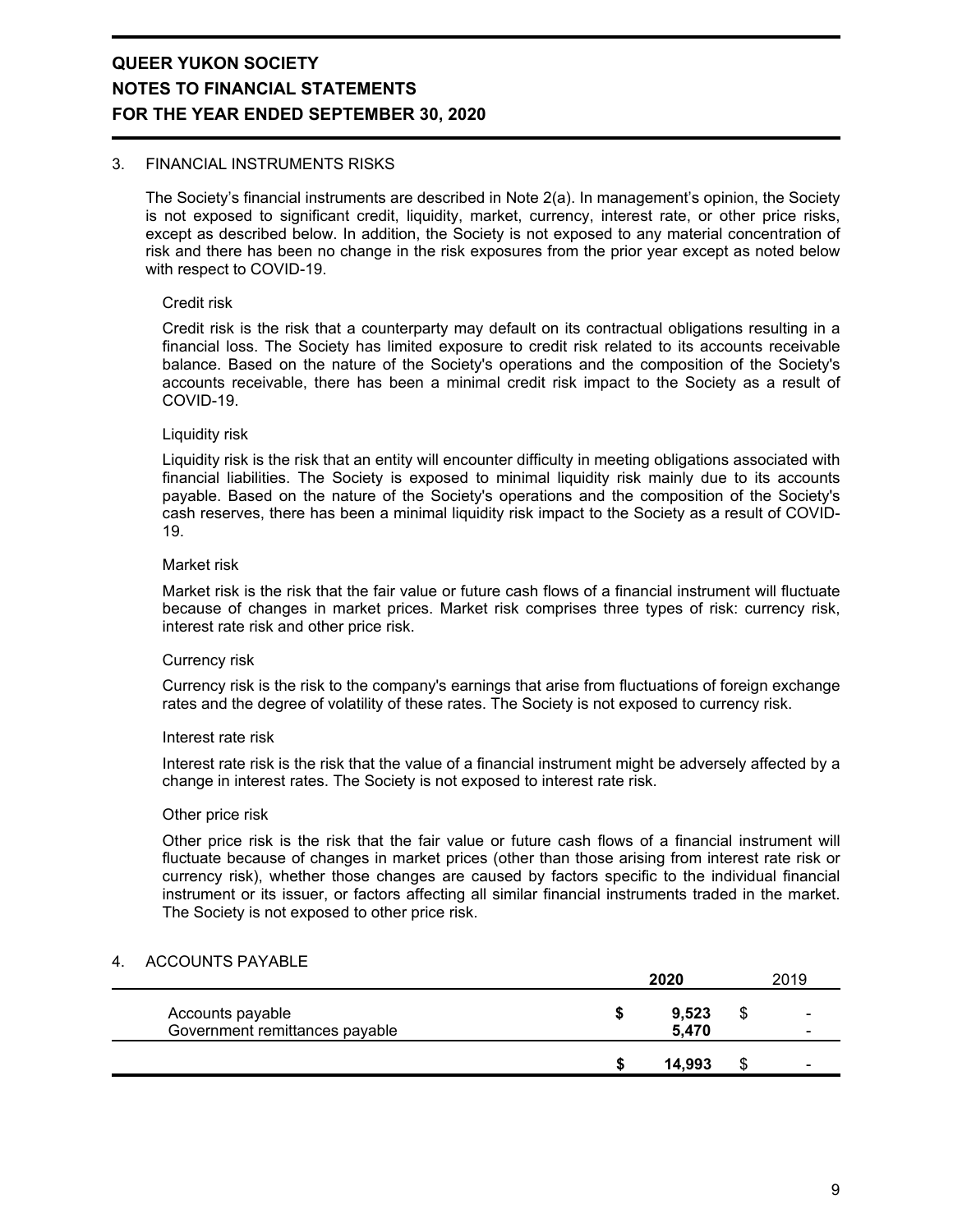#### 3. FINANCIAL INSTRUMENTS RISKS

The Society's financial instruments are described in Note 2(a). In management's opinion, the Society is not exposed to significant credit, liquidity, market, currency, interest rate, or other price risks, except as described below. In addition, the Society is not exposed to any material concentration of risk and there has been no change in the risk exposures from the prior year except as noted below with respect to COVID-19.

#### Credit risk

Credit risk is the risk that a counterparty may default on its contractual obligations resulting in a financial loss. The Society has limited exposure to credit risk related to its accounts receivable balance. Based on the nature of the Society's operations and the composition of the Society's accounts receivable, there has been a minimal credit risk impact to the Society as a result of COVID-19.

#### Liquidity risk

Liquidity risk is the risk that an entity will encounter difficulty in meeting obligations associated with financial liabilities. The Society is exposed to minimal liquidity risk mainly due to its accounts payable. Based on the nature of the Society's operations and the composition of the Society's cash reserves, there has been a minimal liquidity risk impact to the Society as a result of COVID-19.

#### Market risk

Market risk is the risk that the fair value or future cash flows of a financial instrument will fluctuate because of changes in market prices. Market risk comprises three types of risk: currency risk, interest rate risk and other price risk.

#### Currency risk

Currency risk is the risk to the company's earnings that arise from fluctuations of foreign exchange rates and the degree of volatility of these rates. The Society is not exposed to currency risk.

#### Interest rate risk

Interest rate risk is the risk that the value of a financial instrument might be adversely affected by a change in interest rates. The Society is not exposed to interest rate risk.

#### Other price risk

Other price risk is the risk that the fair value or future cash flows of a financial instrument will fluctuate because of changes in market prices (other than those arising from interest rate risk or currency risk), whether those changes are caused by factors specific to the individual financial instrument or its issuer, or factors affecting all similar financial instruments traded in the market. The Society is not exposed to other price risk.

#### 4. ACCOUNTS PAYABLE

|                                                    | 2020           |    | 2019                |
|----------------------------------------------------|----------------|----|---------------------|
| Accounts payable<br>Government remittances payable | 9,523<br>5,470 | \$ | -<br>$\blacksquare$ |
|                                                    | 14.993         | Ф  | $\blacksquare$      |